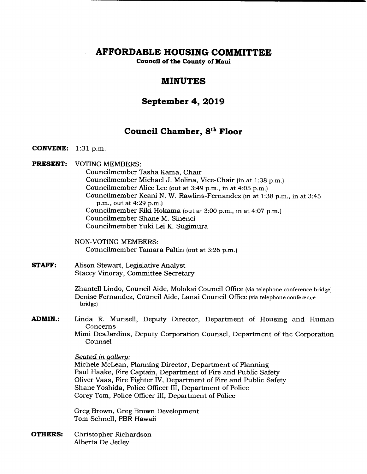# **AFFORDABLE HOUSING COMMITTEE**

**Council of the County of Maui** 

# **MINUTES**

# **September 4, 2019**

# **Council Chamber, 8th Floor**

- **CONVENE:** 1:31 p.m.
- **PRESENT:** VOTING MEMBERS:

Councilmember Tasha Kama, Chair Councilmember Michael J. Molina, Vice-Chair (in at 1:38 p.m.) Councilmember Alice Lee (out at 3:49 p.m., in at 4:05 p.m.) Councilmember Keani N. W. Rawlins-Fernandez (in at 1:38 p.m., in at 3:45 p.m., out at 4:29 p.m.) Councilmember Riki Hokama (out at 3:00 p.m., in at 4:07 p.m.) Councilmember Shane M. Sinenci Councilmember Yuki Lei K. Sugimura

NON-VOTING MEMBERS: Councilmember Tamara Paltin (out at 3:26 p.m.)

**STAFF:** Alison Stewart, Legislative Analyst Stacey Vinoray, Committee Secretary

> Zhantell Lindo, Council Aide, Molokai Council Office (via telephone conference bridge) Denise Fernandez, Council Aide, Lanai Council Office (via telephone conference bridge)

**ADMIN.:** Linda R. Munsell, Deputy Director, Department of Housing and Human Concerns Mimi DesJardins, Deputy Corporation Counsel, Department of the Corporation Counsel

Seated in gallery:

Michele McLean, Planning Director, Department of Planning Paul Haake, Fire Captain, Department of Fire and Public Safety Oliver Vaas, Fire Fighter IV, Department of Fire and Public Safety Shane Yoshida, Police Officer III, Department of Police Corey Tom, Police Officer III, Department of Police

Greg Brown, Greg Brown Development Tom Schnell, PBR Hawaii

**OTHERS:** Christopher Richardson Alberta De Jetley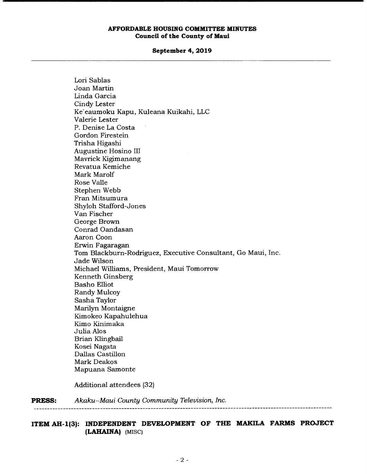## **September 4, 2019**

| <b>PRESS:</b> | Akaku--Maui County Community Television, Inc.                |
|---------------|--------------------------------------------------------------|
|               | Additional attendees (32)                                    |
|               | Mapuana Samonte                                              |
|               | <b>Mark Deakos</b>                                           |
|               | Dallas Castillon                                             |
|               | Kosei Nagata                                                 |
|               | Brian Klingbail                                              |
|               | Julia Alos                                                   |
|               | Kimo Kinimaka                                                |
|               | Kimokeo Kapahulehua                                          |
|               | Marilyn Montaigne                                            |
|               | Sasha Taylor                                                 |
|               | Randy Mulcoy                                                 |
|               | <b>Basho Elliot</b>                                          |
|               | Kenneth Ginsberg                                             |
|               | Michael Williams, President, Maui Tomorrow                   |
|               | Jade Wilson                                                  |
|               | Tom Blackburn-Rodriguez, Executive Consultant, Go Maui, Inc. |
|               | Erwin Fagaragan                                              |
|               | Aaron Coon                                                   |
|               | Conrad Oandasan                                              |
|               | George Brown                                                 |
|               | Van Fischer                                                  |
|               | Shyloh Stafford-Jones                                        |
|               | Stephen Webb<br>Fran Mitsumura                               |
|               |                                                              |
|               | Mark Marolf<br>Rose Valle                                    |
|               | Revatua Kemiche                                              |
|               | Mavrick Kigimanang                                           |
|               | Augustine Hosino III                                         |
|               | Trisha Higashi                                               |
|               | Gordon Firestein                                             |
|               | P. Denise La Costa                                           |
|               | Valerie Lester                                               |
|               | Ke`eaumoku Kapu, Kuleana Kuikahi, LLC                        |
|               | Cindy Lester                                                 |
|               | Linda Garcia                                                 |
|               | Joan Martin                                                  |
|               | Lori Sablas                                                  |
|               |                                                              |

**ITEM AH-1(3): INDEPENDENT DEVELOPMENT OF THE MAKILA FARMS PROJECT (LAHAINA)** (MISC)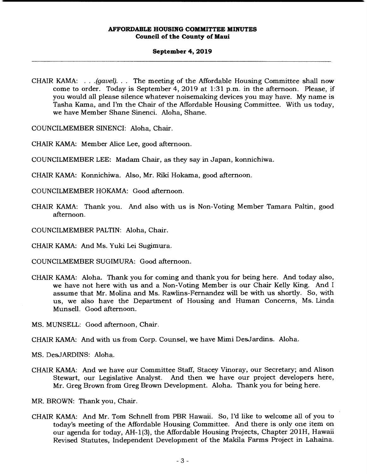## **September 4, 2019**

CHAIR KAMA: . . . *(gavel).* . . The meeting of the Affordable Housing Committee shall now come to order. Today is September 4, 2019 at 1:31 p.m. in the afternoon. Please, if you would all please silence whatever noisemaking devices you may have. My name is Tasha Kama, and I'm the Chair of the Affordable Housing Committee. With us today, we have Member Shane Sinenci. Aloha, Shane.

COUNCILMEMBER SINENCI: Aloha, Chair.

CHAIR KAMA: Member Alice Lee, good afternoon.

COUNCILMEMBER LEE: Madam Chair, as they say in Japan, konnichiwa.

CHAIR KAMA: Konnichiwa. Also, Mr. Riki Hokama, good afternoon.

COUNCILMEMBER HOKAMA: Good afternoon.

- CHAIR KAMA: Thank you. And also with us is Non-Voting Member Tamara Paltin, good afternoon.
- COUNCILMEMBER PALTIN: Aloha, Chair.
- CHAIR KAMA: And Ms. Yuki Lei Sugimura.
- COUNCILMEMBER SUGIMURA: Good afternoon.
- CHAIR KAMA: Aloha. Thank you for coming and thank you for being here. And today also, we have not here with us and a Non-Voting Member is our Chair Kelly King. And I assume that Mr. Molina and Ms. Rawlins-Fernandez will be with us shortly. So, with us, we also have the Department of Housing and Human Concerns, Ms. Linda Munsell. Good afternoon.
- MS. MUNSELL: Good afternoon, Chair.

CHAIR KAMA: And with us from Corp. Counsel, we have Mimi DesJardins. Aloha.

MS. DesJARDINS: Aloha.

CHAIR KAMA: And we have our Committee Staff, Stacey Vinoray, our Secretary; and Alison Stewart, our Legislative Analyst. And then we have our project developers here, Mr. Greg Brown from Greg Brown Development. Aloha. Thank you for being here.

MR. BROWN: Thank you, Chair.

CHAIR KAMA: And Mr. Tom Schnell from PBR Hawaii. So, I'd like to welcome all of you to today's meeting of the Affordable Housing Committee. And there is only one item on our agenda for today, AH- 1(3), the Affordable Housing Projects, Chapter 20 1H, Hawaii Revised Statutes, Independent Development of the Makila Farms Project in Lahaina.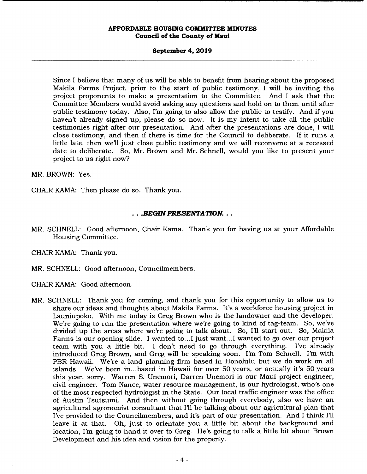## **September 4, 2019**

Since I believe that many of us will be able to benefit from hearing about the proposed Makila Farms Project, prior to the start of public testimony, I will be inviting the project proponents to make a presentation to the Committee. And I ask that the Committee Members would avoid asking any questions and hold on to them until after public testimony today. Also, I'm going to also allow the public to testify. And if you haven't already signed up, please do so now. It is my intent to take all the public testimonies right after our presentation. And after the presentations are done, I will close testimony, and then if there is time for the Council to deliberate. If it runs a little late, then we'll just close public testimony and we will reconvene at a recessed date to deliberate. So, Mr. Brown and Mr. Schnell, would you like to present your project to us right now?

**MR. BROWN: Yes.** 

CHAIR KAMA: Then please do so. Thank you.

## *.BEGIN PRESENTATION...*

- MR. SCHNELL: Good afternoon, Chair Kama. Thank you for having us at your Affordable Housing Committee.
- CHAIR KAMA: Thank you.
- MR. SCHNELL: Good afternoon, Councilmembers.
- CHAIR KAMA: Good afternoon.
- MR. SCHNELL: Thank you for coming, and thank you for this opportunity to allow us to share our ideas and thoughts about Makila Farms. It's a workforce housing project in Launiupoko. With me today is Greg Brown who is the landowner and the developer. We're going to run the presentation where we're going to kind of tag-team. So, we've divided up the areas where we're going to talk about. So, I'll start out. So, Makila Farms is our opening slide. I wanted to...I just want...I wanted to go over our project team with you a little bit. I don't need to go through everything. I've already introduced Greg Brown, and Greg will be speaking soon. I'm Tom Schnell. I'm with PBR Hawaii. We're a land planning firm based in Honolulu but we do work on all islands. We've been in... based in Hawaii for over 50 years, or actually it's 50 years this year, sorry. Warren S. Unemori, Darren Unemori is our Maui project engineer, civil engineer. Tom Nance, water resource management, is our hydrologist, who's one of the most respected hydrologist in the State. Our local traffic engineer was the office of Austin Tsutsumi. And then without going through everybody, also we have an agricultural agronomist consultant that I'll be talking about our agricultural plan that I've provided to the Councilmembers, and it's part of our presentation. And I think I'll leave it at that. Oh, just to orientate you a little bit about the background and location, I'm going to hand it over to Greg. He's going to talk a little bit about Brown Development and his idea and vision for the property.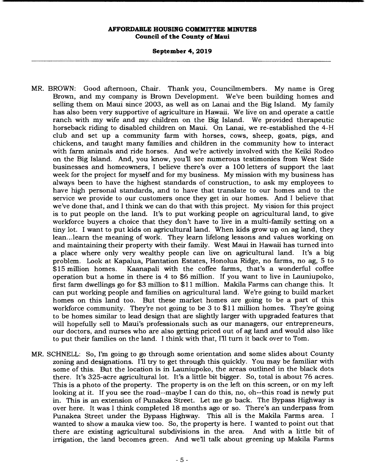#### **September 4, 2019**

- MR. BROWN: Good afternoon, Chair. Thank you, Councilmembers. My name is Greg Brown, and my company is Brown Development. We've been building homes and selling them on Maui since 2003, as well as on Lanai and the Big Island. My family has also been very supportive of agriculture in Hawaii. We live on and operate a cattle ranch with my wife and my children on the Big Island. We provided therapeutic horseback riding to disabled children on Maui. On Lanai, we re-established the 4-H club and set up a community farm with horses, cows, sheep, goats, pigs, and chickens, and taught many families and children in the community how to interact with farm animals and ride horses. And we're actively involved with the Keiki Rodeo on the Big Island. And, you know, you'll see numerous testimonies from West Side businesses and homeowners, I believe there's over a 100 letters of support the last week for the project for myself and for my business. My mission with my business has always been to have the highest standards of construction, to ask my employees to have high personal standards, and to have that translate to our homes and to the service we provide to our customers once they get in our homes. And I believe that we've done that, and I think we can do that with this project. My vision for this project is to put people on the land. It's to put working people on agricultural land, to give workforce buyers a choice that they don't have to live in a multi-family setting on a tiny lot. I want to put kids on agricultural land. When kids grow up on ag land, they lean... learn the meaning of work. They learn lifelong lessons and values working on and maintaining their property with their family. West Maui in Hawaii has turned into a place where only very wealthy people can live on agricultural land. It's a big problem. Look at Kapalua, Plantation Estates, Honolua Ridge, no farms, no ag, 5 to \$15 million homes. Kaanapali with the coffee farms, that's a wonderful coffee operation but a home in there is 4 to \$6 million. If you want to live in Launiupoko, first farm dwellings go for \$3 million to \$11 million. Makila Farms can change this. It can put working people and families on agricultural land. We're going to build market homes on this land too. But these market homes are going to be a part of this workforce community. They're not going to be 3 to \$11 million homes. They're going to be homes similar to lead design that are slightly larger with upgraded features that will hopefully sell to Maui's professionals such as our managers, our entrepreneurs, our doctors, and nurses who are also getting priced out of ag land and would also like to put their families on the land. I think with that, Fil turn it back over to Tom.
- MR. SCHNELL: So, I'm going to go through some orientation and some slides about County zoning and designations. I'll try to get through this quickly. You may be familiar with some of this. But the location is in Launiupoko, the areas outlined in the black dots there. It's 325-acre agricultural lot. It's a little bit bigger. So, total is about 76 acres. This is a photo of the property. The property is on the left on this screen, or on my left looking at it. If you see the road--maybe I can do this, no, oh--this road is newly put in. This is an extension of Punakea Street. Let me go back. The Bypass Highway is over here. It was I think completed 18 months ago or so. There's an underpass from Punakea Street under the Bypass Highway. This all is the Makila Farms area. I wanted to show a mauka view too. So, the property is here. I wanted to point out that there are existing agricultural subdivisions in the area. And with a little bit of irrigation, the land becomes green. And well talk about greening up Makila Farms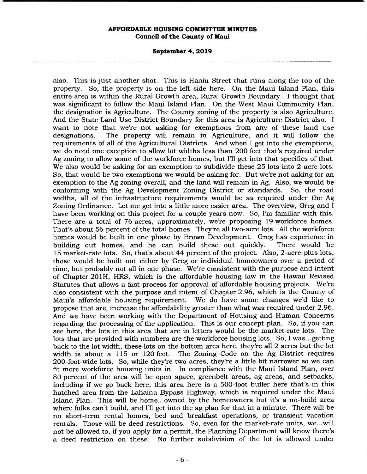#### **September 4, 2019**

also. This is just another shot. This is Haniu Street that runs along the top of the property. So, the property is on the left side here. On the Maui Island Plan, this entire area is within the Rural Growth area, Rural Growth Boundary. I thought that was significant to follow the Maui Island Plan. On the West Maui Community Plan, the designation is Agriculture. The County zoning of the property is also Agriculture. And the State Land Use District Boundary for this area is Agriculture District also. I want to note that we're not asking for exemptions from any of these land use designations. The property will remain in Agriculture, and it will follow the requirements of all of the Agricultural Districts. And when I get into the exemptions, we do need one exception to allow lot widths less than 200 feet that's required under Ag zoning to allow some of the workforce homes, but I'll get into that specifics of that. We also would be asking for an exemption to subdivide these 25 lots into 2-acre lots. So, that would be two exemptions we would be asking for. But we're not asking for an exemption to the Ag zoning overall, and the land will remain in Ag. Also, we would be conforming with the Ag Development Zoning District or standards. So, the road widths, all of the infrastructure requirements would be as required under the Ag Zoning Ordinance. Let me get into a little more easier area. The overview, Greg and I have been working on this project for a couple years now. So, I'm familiar with this. There are a total of 76 acres, approximately, we're proposing 19 workforce homes. That's about 56 percent of the total homes. They're all two-acre lots. All the workforce homes would be built in one phase by Brown Development. Greg has experience in building out homes, and he can build these out quickly. There would be 15 market-rate lots. So, that's about 44 percent of the project. Also, 2-acre-plus lots, those would be built out either by Greg or individual homeowners over a period of time, but probably not all in one phase. We're consistent with the purpose and intent of Chapter 201H, HRS, which is the affordable housing law in the Hawaii Revised Statutes that allows a fast process for approval of affordable housing projects. We're also consistent with the purpose and intent of Chapter 2.96, which is the County of Maui's affordable housing requirement. We do have some changes we'd like to propose that are, increase the affordability greater than what was required under 2.96. And we have been working with the Department of Housing and Human Concerns regarding the processing of the application. This is our concept plan. So, if you can see here, the lots in this area that are in letters would be the market-rate lots. The lots that are provided with numbers are the workforce housing lots. So, I was... getting back to the lot width, these lots on the bottom area here, they're all 2 acres but the lot width is about a 115 or 120 feet. The Zoning Code on the Ag District requires 200-foot-wide lots. So, while they're two acres, they're a little bit narrower so we can fit more workforce housing units in. In compliance with the Maui Island Plan, over 80 percent of the area will be open space, greenbelt areas, ag areas, and setbacks, including if we go back here, this area here is a 500-foot buffer here that's in this hatched area from the Lahaina Bypass Highway, which is required under the Maui Island Plan. This will be home.. .owned by the homeowners but it's a no-build area where folks can't build, and I'll get into the ag plan for that in a minute. There will be no short-term rental homes, bed and breakfast operations, or transient vacation rentals. Those will be deed restrictions. So, even for the market-rate units, we.. .will not be allowed to, if you apply for a permit, the Planning Department will know there's a deed restriction on these. No further subdivision of the lot is allowed under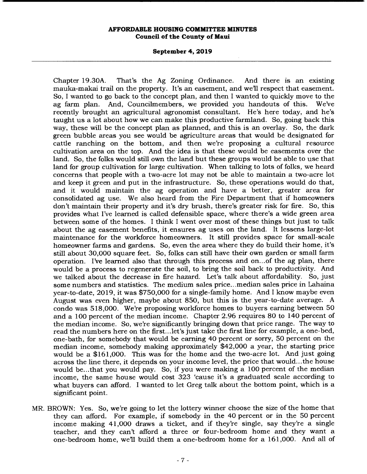#### **September 4, 2019**

Chapter 19.30A. That's the Ag Zoning Ordinance. And there is an existing mauka-makai trail on the property. It's an easement, and well respect that easement. So, I wanted to go back to the concept plan, and then I wanted to quickly move to the ag farm plan. And, Councilmembers, we provided you handouts of this. We've recently brought an agricultural agronomist consultant. He's here today, and he's taught us a lot about how we can make this productive farmland. So, going back this way, these will be the concept plan as planned, and this is an overlay. So, the dark green bubble areas you see would be agriculture areas that would be designated for cattle ranching on the bottom, and then we're proposing a cultural resource cultivation area on the top. And the idea is that these would be easements over the land. So, the folks would still own the land but these groups would be able to use that land for group cultivation for large cultivation. When talking to lots of folks, we heard concerns that people with a two-acre lot may not be able to maintain a two-acre lot and keep it green and put in the infrastructure. So, these operations would do that, and it would maintain the ag operation and have a better, greater area for consolidated ag use. We also heard from the Fire Department that if homeowners don't maintain their property and it's dry brush, there's greater risk for fire. So, this provides what I've learned is called defensible space, where there's a wide green area between some of the homes. I think I went over most of these things but just to talk about the ag easement benefits, it ensures ag uses on the land. It lessens large-lot maintenance for the workforce homeowners. It still provides space for small-scale homeowner farms and gardens. So, even the area where they do build their home, it's still about 30,000 square feet. So, folks can still have their own garden or small farm operation. I've learned also that through this process and on.. .of the ag plan, there would be a process to regenerate the soil, to bring the soil back to productivity. And we talked about the decrease in fire hazard. Let's talk about affordability. So, just some numbers and statistics. The medium sales price... median sales price in Lahaina year-to-date, 2019, it was \$750,000 for a single-family home. And I know maybe even August was even higher, maybe about 850, but this is the year-to-date average. A condo was 518,000. We're proposing workforce homes to buyers earning between 50 and a 100 percent of the median income. Chapter 2.96 requires 80 to 140 percent of the median income. So, we're significantly bringing down that price range. The way to read the numbers here on the first... let's just take the first line for example, a one-bed, one-bath, for somebody that would be earning 40 percent or sorry, 50 percent on the median income, somebody making approximately \$42,000 a year, the starting price would be a \$161,000. This was for the home and the two-acre lot. And just going across the line there, it depends on your income level, the price that would.. .the house would be...that you would pay. So, if you were making a 100 percent of the median income, the same house would cost 323 'cause it's a graduated scale according to what buyers can afford. I wanted to let Greg talk about the bottom point, which is a significant point.

MR. BROWN: Yes. So, we're going to let the lottery winner choose the size of the home that they can afford. For example, if somebody in the 40 percent or in the 50 percent income making 41,000 draws a ticket, and if they're single, say they're a single teacher, and they can't afford a three or four-bedroom home and they want a one-bedroom home, well build them a one-bedroom home for a 161,000. And all of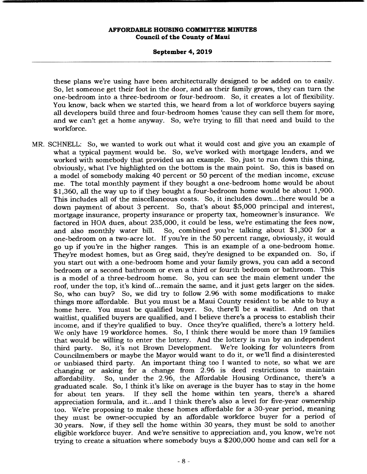#### **September 4, 2019**

these plans we're using have been architecturally designed to be added on to easily. So, let someone get their foot in the door, and as their family grows, they can turn the one-bedroom into a three-bedroom or four-bedroom. So, it creates a lot of flexibility. You know, back when we started this, we heard from a lot of workforce buyers saying all developers build three and four-bedroom homes 'cause they can sell them for more, and we can't get a home anyway. So, we're trying to fill that need and build to the workforce.

MR. SCHNELL: So, we wanted to work out what it would cost and give you an example of what a typical payment would be. So, we've worked with mortgage lenders, and we worked with somebody that provided us an example. So, just to run down this thing, obviously, what I've highlighted on the bottom is the main point. So, this is based on a model of somebody making 40 percent or 50 percent of the median income, excuse me. The total monthly payment if they bought a one-bedroom home would be about \$1,360, all the way up to if they bought a four-bedroom home would be about 1,900. This includes all of the miscellaneous costs. So, it includes down.. .there would be a down payment of about 3 percent. So, that's about \$5,000 principal and interest, mortgage insurance, property insurance or property tax, homeowner's insurance. We factored in HOA dues, about 235,000, it could be less, we're estimating the fees now, and also monthly water bill. So, combined you're talking about \$1,300 for a one-bedroom on a two-acre lot. If you're in the 50 percent range, obviously, it would go up if you're in the higher ranges. This is an example of a one-bedroom home. They're modest homes, but as Greg said, they're designed to be expanded on. So, if you start out with a one-bedroom home and your family grows, you can add a second bedroom or a second bathroom or even a third or fourth bedroom or bathroom. This is a model of a three-bedroom home. So, you can see the main element under the roof, under the top, it's kind of... remain the same, and it just gets larger on the sides. So, who can buy? So, we did try to follow 2.96 with some modifications to make things more affordable. But you must be a Maui County resident to be able to buy a home here. You must be qualified buyer. So, there'll be a waitlist. And on that waitlist, qualified buyers are qualified, and I believe there's a process to establish their income, and if they're qualified to buy. Once they're qualified, there's a lottery held. We only have 19 workforce homes. So, I think there would be more than 19 families that would be willing to enter the lottery. And the lottery is run by an independent third party. So, it's not Brown Development. We're looking for volunteers from Councilmembers or maybe the Mayor would want to do it, or well find a disinterested or unbiased third party. An important thing too I wanted to note, so what we are changing or asking for a change from 2.96 is deed restrictions to maintain affordability. So, under the 2.96, the Affordable Housing Ordinance, there's a graduated scale. So, I think it's like on average is the buyer has to stay in the home for about ten years. If they sell the home within ten years, there's a shared appreciation formula, and it... and I think there's also a level for five-year ownership too. We're proposing to make these homes affordable for a 30-year period, meaning they must be owner-occupied by an affordable workforce buyer for a period of 30 years. Now, if they sell the home within 30 years, they must be sold to another eligible workforce buyer. And we're sensitive to appreciation and, you know, we're not trying to create a situation where somebody buys a \$200,000 home and can sell for a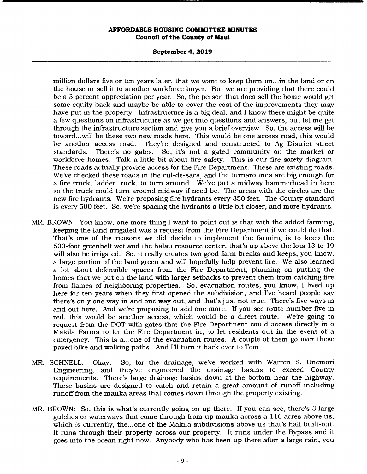# **September 4, 2019**

million dollars five or ten years later, that we want to keep them on... in the land or on the house or sell it to another workforce buyer. But we are providing that there could be a 3 percent appreciation per year. So, the person that does sell the home would get some equity back and maybe be able to cover the cost of the improvements they may have put in the property. Infrastructure is a big deal, and I know there might be quite a few questions on infrastructure as we get into questions and answers, but let me get through the infrastructure section and give you a brief overview. So, the access will be toward.. .will be these two new roads here. This would be one access road, this would be another access road. They're designed and constructed to Ag District street standards. There's no gates. So, it's not a gated community on the market or standards. There's no gates. So, it's not a gated community on the market or workforce homes. Talk a little bit about fire safety. This is our fire safety diagram. These roads actually provide access for the Fire Department. These are existing roads. We've checked these roads in the cul-de-sacs, and the turnarounds are big enough for a fire truck, ladder truck, to turn around. We've put a midway hammerhead in here so the truck could turn around midway if need be. The areas with the circles are the new fire hydrants. We're proposing fire hydrants every 350 feet. The County standard is every 500 feet. So, we're spacing the hydrants a little bit closer, and more hydrants.

- MR. BROWN: You know, one more thing I want to point out is that with the added farming, keeping the land irrigated was a request from the Fire Department if we could do that. That's one of the reasons we did decide to implement the farming is to keep the 500-foot greenbelt wet and the halau resource center, that's up above the lots 13 to 19 will also be irrigated. So, it really creates two good farm breaks and keeps, you know, a large portion of the land green and will hopefully help prevent fire. We also learned a lot about defensible spaces from the Fire Department, planning on putting the homes that we put on the land with larger setbacks to prevent them from catching fire from flames of neighboring properties. So, evacuation routes, you know, I lived up here for ten years when they first opened the subdivision, and I've heard people say there's only one way in and one way out, and that's just not true. There's five ways in and out here. And we're proposing to add one more. If you see route number five in red, this would be another access, which would be a direct route. We're going to request from the DOT with gates that the Fire Department could access directly into Makila Farms to let the Fire Department in, to let residents out in the event of a emergency. This is a... one of the evacuation routes. A couple of them go over these paved bike and walking paths. And III turn it back over to Tom.
- MR. SCHNELL: Okay. So, for the drainage, we've worked with Warren S. Unemori Engineering, and they've engineered the drainage basins to exceed County requirements. There's large drainage basins down at the bottom near the highway. These basins are designed to catch and retain a great amount of runoff including runoff from the mauka areas that comes down through the property existing.
- MR. BROWN: So, this is what's currently going on up there. If you can see, there's 3 large gulches or waterways that come through from up mauka across a 116 acres above us, which is currently, the... one of the Makila subdivisions above us that's half built-out. It runs through their property across our property. It runs under the Bypass and it goes into the ocean right now. Anybody who has been up there after a large rain, you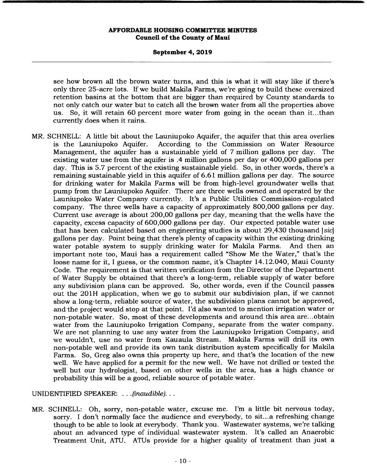#### **September 4, 2019**

see how brown all the brown water turns, and this is what it will stay like if there's only three 25-acre lots. If we build Makila Farms, we're going to build these oversized retention basins at the bottom that are bigger than required by County standards to not only catch our water but to catch all the brown water from all the properties above us. So, it will retain 60 percent more water from going in the ocean than it.. .than currently does when it rains.

MR. SCHNELL: A little bit about the Launiupoko Aquifer, the aquifer that this area overlies is the Launiupoko Aquifer. According to the Commission on Water Resource Management, the aquifer has a sustainable yield of 7 million gallons per day. The existing water use from the aquifer is .4 million gallons per day or 400,000 gallons per day. This is 5.7 percent of the existing sustainable yield. So, in other words, there's a remaining sustainable yield in this aquifer of 6.61 million gallons per day. The source for drinking water for Makila Farms will be from high-level groundwater wells that pump from the Launiupoko Aquifer. There are three wells owned and operated by the Launiupoko Water Company currently. It's a Public Utilities Commission-regulated company. The three wells have a capacity of approximately 800,000 gallons per day. Current use average is about 200,00 gallons per day, meaning that the wells have the capacity, excess capacity of 600,000 gallons per day. Our expected potable water use that has been calculated based on engineering studies is about 29,430 thousand *[sic]*  gallons per day. Point being that there's plenty of capacity within the existing drinking water potable system to supply drinking water for Makila Farms. And then an important note too, Maui has a requirement called "Show Me the Water," that's the loose name for it, I guess, or the common name, it's Chapter 14.12.040, Maui County Code. The requirement is that written verification from the Director of the Department of Water Supply be obtained that there's a long-term, reliable supply of water before any subdivision plans can be approved. So, other words, even if the Council passes out the 201H application, when we go to submit our subdivision plan, if we cannot show a long-term, reliable source of water, the subdivision plans cannot be approved, and the project would stop at that point. I'd also wanted to mention irrigation water or non-potable water. So, most of these developments and around this area are... obtain water from the Launiupoko Irrigation Company, separate from the water company. We are not planning to use any water from the Launiupoko Irrigation Company, and we wouldn't, use no water from Kauaula Stream. Makila Farms will drill its own non-potable well and provide its own tank distribution system specifically for Makila Farms. So, Greg also owns this property up here, and that's the location of the new well. We have applied for a permit for the new well. We have not drilled or tested the well but our hydrologist, based on other wells in the area, has a high chance or probability this will be a good, reliable source of potable water.

UNIDENTIFIED SPEAKER: . . . *(inaudible)...* 

MR. SCHNELL: Oh, sorry, non-potable water, excuse me. I'm a little bit nervous today, sorry. I don't normally face the audience and everybody, to sit... a refreshing change though to be able to look at everybody. Thank you. Wastewater systems, we're talking about an advanced type of individual wastewater system. It's called an Anaerobic Treatment Unit, ATU. ATUs provide for a higher quality of treatment than just a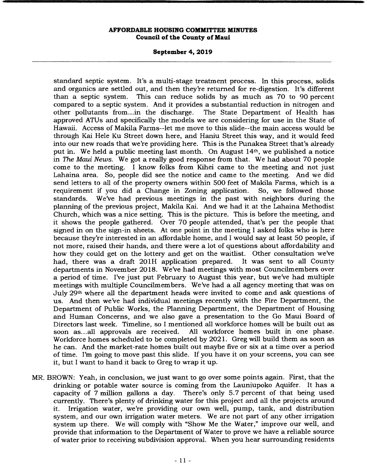#### **September 4, 2019**

standard septic system. It's a multi-stage treatment process. In this process, solids and organics are settled out, and then they're returned for re-digestion. It's different than a septic system. This can reduce solids by as much as 70 to 90 percent compared to a septic system. And it provides a substantial reduction in nitrogen and other pollutants from...in the discharge. approved ATUs and specifically the models we are considering for use in the State of Hawaii. Access of Makila Farms--let me move to this slide--the main access would be through Kai Hele Ku Street down here, and Haniu Street this way, and it would feed into our new roads that we're providing here. This is the Punakea Street that's already put in. We held a public meeting last month. On August 14th, we published a notice in *The Maui News.* We got a really good response from that. We had about 70 people come to the meeting. I know folks from Kihei came to the meeting and not just Lahaina area. So, people did see the notice and came to the meeting. And we did send letters to all of the property owners within 500 feet of Makila Farms, which is a requirement if you did a Change in Zoning application. So, we followed those standards. We've had previous meetings in the past with neighbors during the planning of the previous project, Makila Kai. And we had it at the Lahaina Methodist Church, which was a nice setting. This is the picture. This is before the meeting, and it shows the people gathered. Over 70 people attended, that's per the people that signed in on the sign-in sheets. At one point in the meeting I asked folks who is here because they're interested in an affordable home, and I would say at least 50 people, if not more, raised their hands, and there were a lot of questions about affordability and how they could get on the lottery and get on the waitlist. Other consultation we've had, there was a draft 201H application prepared. It was sent to all County departments in November 2018. We've had meetings with most Councilmembers over a period of time. I've just put February to August this year, but we've had multiple meetings with multiple Councilmembers. We've had a all agency meeting that was on July 29th where all the department heads were invited to come and ask questions of us. And then we've had individual meetings recently with the Fire Department, the Department of Public Works, the Planning Department, the Department of Housing and Human Concerns, and we also gave a presentation to the Go Maui Board of Directors last week. Timeline, so I mentioned all workforce homes will be built out as soon as...all approvals are received. All workforce homes built in one phase. All workforce homes built in one phase. Workforce homes scheduled to be completed by 2021. Greg will build them as soon as he can. And the market-rate homes built out maybe five or six at a time over a period of time. I'm going to move past this slide. If you have it on your screens, you can see it, but I want to hand it back to Greg to wrap it up.

MR. BROWN: Yeah, in conclusion, we just want to go over some points again. First, that the drinking or potable water source is coming from the Launiupoko Aquifer. It has a capacity of 7 million gallons a day. There's only 5.7 percent of that being used currently. There's plenty of drinking water for this project and all the projects around it. Irrigation water, we're providing our own well, pump, tank, and distribution system, and our own irrigation water meters. We are not part of any other irrigation system up there. We will comply with "Show Me the Water," improve our well, and provide that information to the Department of Water to prove we have a reliable source of water prior to receiving subdivision approval. When you hear surrounding residents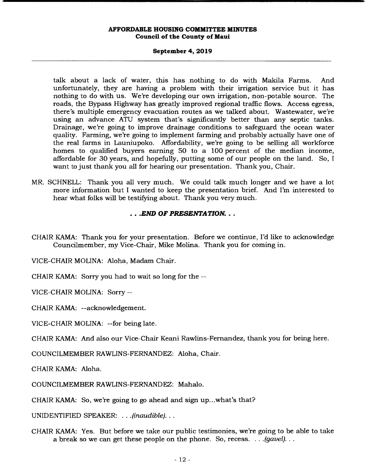#### **September 4, 2019**

talk about a lack of water, this has nothing to do with Makila Farms. And unfortunately, they are having a problem with their irrigation service but it has nothing to do with us. We're developing our own irrigation, non-potable source. The roads, the Bypass Highway has greatly improved regional traffic flows. Access egress, there's multiple emergency evacuation routes as we talked about. Wastewater, we're using an advance ATU system that's significantly better than any septic tanks. Drainage, we're going to improve drainage conditions to safeguard the ocean water quality. Farming, we're going to implement farming and probably actually have one of the real farms in Launiupoko. Affordability, we're going to be selling all workforce homes to qualified buyers earning 50 to a 100 percent of the median income, affordable for 30 years, and hopefully, putting some of our people on the land. So, I want to just thank you all for hearing our presentation. Thank you, Chair.

MR. SCHNELL: Thank you all very much. We could talk much longer and we have a lot more information but I wanted to keep the presentation brief. And I'm interested to hear what folks will be testifying about. Thank you very much.

# *.END OF PRESENTATION...*

CHAIR KAMA: Thank you for your presentation. Before we continue, I'd like to acknowledge Councilmember, my Vice-Chair, Mike Molina. Thank you for coming in.

VICE-CHAIR MOLINA: Aloha, Madam Chair.

CHAIR KAMA: Sorry you had to wait so long for the --

VICE-CHAIR MOLINA: Sorry --

CHAIR KAMA: --acknowledgement.

VICE-CHAIR MOLINA: --for being late.

CHAIR KAMA: And also our Vice-Chair Keani Rawlins-Fernandez, thank you for being here.

COUNCILMEMBER RAWLINS-FERNANDEZ: Aloha, Chair.

CHAIR KAMA: Aloha.

COUNCILMEMBER RAWLINS-FERNANDEZ: Mahalo.

CHAIR KAMA: So, we're going to go ahead and sign up.. .what's that?

UNIDENTIFIED SPEAKER: . . . *(inaudible)...* 

CHAIR KAMA: Yes. But before we take our public testimonies, we're going to be able to take a break so we can get these people on the phone. So, recess. . . .*(gavel)...*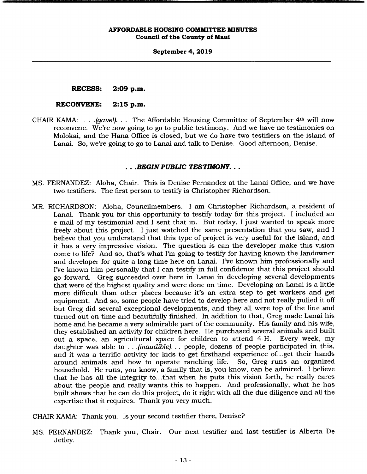#### **September 4, 2019**

**RECESS: 2:09 p.m.** 

#### **RECONVENE: 2:15 p.m.**

CHAIR KAMA: . . . *(gavel)...* The Affordable Housing Committee of September 4th will now reconvene. We're now going to go to public testimony. And we have no testimonies on Molokai, and the Hana Office is closed, but we do have two testifiers on the island of Lanai. So, we're going to go to Lanai and talk to Denise. Good afternoon, Denise.

#### *.BEGIN PUBLIC TESTIMONY...*

- MS. FERNANDEZ: Aloha, Chair. This is Denise Fernandez at the Lanai Office, and we have two testifiers. The first person to testify is Christopher Richardson.
- MR. RICHARDSON: Aloha, Councilmembers. I am Christopher Richardson, a resident of Lanai. Thank you for this opportunity to testify today for this project. I included an e-mail of my testimonial and I sent that in. But today, I just wanted to speak more freely about this project. I just watched the same presentation that you saw, and I believe that you understand that this type of project is very useful for the island, and it has a very impressive vision. The question is can the developer make this vision come to life? And so, that's what I'm going to testify for having known the landowner and developer for quite a long time here on Lanai. I've known him professionally and I've known him personally that I can testify in full confidence that this project should go forward. Greg succeeded over here in Lanai in developing several developments that were of the highest quality and were done on time. Developing on Lanai is a little more difficult than other places because it's an extra step to get workers and get equipment. And so, some people have tried to develop here and not really pulled it off but Greg did several exceptional developments, and they all were top of the line and turned out on time and beautifully finished. In addition to that, Greg made Lanai his home and he became a very admirable part of the community. His family and his wife, they established an activity for children here. He purchased several animals and built out a space, an agricultural space for children to attend 4-H. Every week, my daughter was able to . . . *(inaudible). . .* people, dozens of people participated in this, and it was a terrific activity for kids to get firsthand experience of... get their hands around animals and how to operate ranching life. So, Greg runs an organized household. He runs, you know, a family that is, you know, can be admired. I believe that he has all the integrity to.. .that when he puts this vision forth, he really cares about the people and really wants this to happen. And professionally, what he has built shows that he can do this project, do it right with all the due diligence and all the expertise that it requires. Thank you very much.

CHAIR KAMA: Thank you. Is your second testifier there, Denise?

MS. FERNANDEZ: Thank you, Chair. Our next testifier and last testifier is Alberta De Jetley.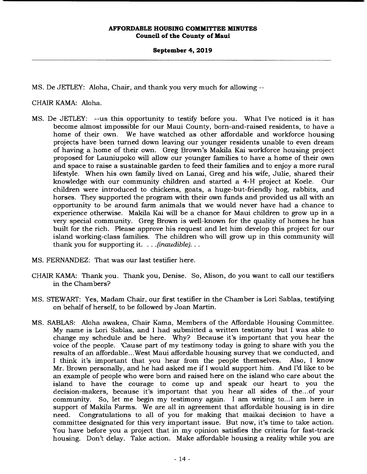#### **September 4, 2019**

MS. De JETLEY: Aloha, Chair, and thank you very much for allowing --

CHAIR KAMA: Aloha.

- MS. De JETLEY: --us this opportunity to testify before you. What I've noticed is it has become almost impossible for our Maui County, born-and-raised residents, to have a home of their own. We have watched as other affordable and workforce housing projects have been turned down leaving our younger residents unable to even dream of having a home of their own. Greg Brown's Makila Kai workforce housing project proposed for Launiupoko will allow our younger families to have a home of their own and space to raise a sustainable garden to feed their families and to enjoy a more rural lifestyle. When his own family lived on Lanai, Greg and his wife, Julie, shared their knowledge with our community children and started a 4-H project at Koele. Our children were introduced to chickens, goats, a huge-but-friendly hog, rabbits, and horses. They supported the program with their own funds and provided us all with an opportunity to be around farm animals that we would never have had a chance to experience otherwise. Makila Kai will be a chance for Maui children to grow up in a very special community. Greg Brown is well-known for the quality of homes he has built for the rich. Please approve his request and let him develop this project for our island working-class families. The children who will grow up in this community will thank you for supporting it. . .*(inaudible)...*
- MS. FERNANDEZ: That was our last testifier here.
- CHAIR KAMA: Thank you. Thank you, Denise. So, Alison, do you want to call our testifiers in the Chambers?
- MS. STEWART: Yes, Madam Chair, our first testifier in the Chamber is Lori Sablas, testifying on behalf of herself, to be followed by Joan Martin.
- MS. SABLAS: Aloha awakea, Chair Kama, Members of the Affordable Housing Committee. My name is Lori Sablas, and I had submitted a written testimony but I was able to change my schedule and be here. Why? Because it's important that you hear the voice of the people. 'Cause part of my testimony today is going to share with you the results of an affordable.. .West Maui affordable housing survey that we conducted, and I think it's important that you hear from the people themselves. Also, I know Mr. Brown personally, and he had asked me if I would support him. And I'd like to be an example of people who were born and raised here on the island who care about the island to have the courage to come up and speak our heart to you the decision-makers, because it's important that you hear all sides of the... of your community. So, let me begin my testimony again. I am writing to... I am here in support of Makila Farms. We are all in agreement that affordable housing is in dire need. Congratulations to all of you for making that maikai decision to have a committee designated for this very important issue. But now, it's time to take action. You have before you a project that in my opinion satisfies the criteria for fast-track housing. Don't delay. Take action. Make affordable housing a reality while you are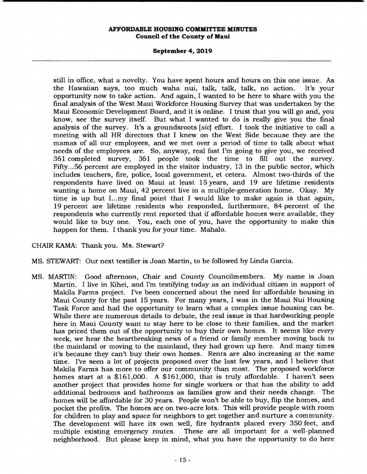## **September 4, 2019**

still in office, what a novelty. You have spent hours and hours on this one issue. As the Hawaiian says, too much waha nui, talk, talk, talk, no action. It's your opportunity now to take action. And again, I wanted to be here to share with you the final analysis of the West Maui Workforce Housing Survey that was undertaken by the Maui Economic Development Board, and it is online. I trust that you will go and, you know, see the survey itself. But what I wanted to do is really give you the final analysis of the survey. It's a groundsroots *[sic]* effort. I took the initiative to call a meeting with all HR directors that I knew on the West Side because they are the mamas of all our employees, and we met over a period of time to talk about what needs of the employees are. So, anyway, real fast I'm going to give you, we received 361 completed survey, 361 people took the time to fill out the survey. Fifty... 56 percent are employed in the visitor industry, 13 in the public sector, which includes teachers, fire, police, local government, et cetera. Almost two-thirds of the respondents have lived on Maui at least 15 years, and 19 are lifetime residents wanting a home on Maui, 42 percent live in a multiple-generation home. Okay. My time is up but I...my final point that I would like to make again is that again, 19 percent are lifetime residents who responded, furthermore, 84 percent of the respondents who currently rent reported that if affordable homes were available, they would like to buy one. You, each one of you, have the opportunity to make this happen for them. I thank you for your time. Mahalo.

# CHAIR KAMA: Thank you. Ms. Stewart?

MS. STEWART: Our next testifier is Joan Martin, to be followed by Linda Garcia.

MS. MARTIN: Good afternoon, Chair and County Councilmembers. My name is Joan Martin. I live in Kihei, and I'm testifying today as an individual citizen in support of Makila Farms project. I've been concerned about the need for affordable housing in Maui County for the past 15 years. For many years, I was in the Maui Nui Housing Task Force and had the opportunity to learn what a complex issue housing can be. While there are numerous details to debate, the real issue is that hardworking people here in Maui County want to stay here to be close to their families, and the market has priced them out of the opportunity to buy their own homes. It seems like every week, we hear the heartbreaking news of a friend or family member moving back to the mainland or moving to the mainland, they had grown up here. And many times it's because they can't buy their own homes. Rents are also increasing at the same time. I've seen a lot of projects proposed over the last few years, and I believe that Makila Farms has more to offer our community than most. The proposed workforce homes start at a \$161,000. A \$161,000, that is truly affordable. I haven't seen another project that provides home for single workers or that has the ability to add additional bedrooms and bathrooms as families grow and their needs change. The homes will be affordable for 30 years. People won't be able to buy, flip the homes, and pocket the profits. The homes are on two-acre lots. This will provide people with room for children to play and space for neighbors to get together and nurture a community. The development will have its own well, fire hydrants placed every 350 feet, and multiple existing emergency routes. These are all important for a well-planned neighborhood. But please keep in mind, what you have the opportunity to do here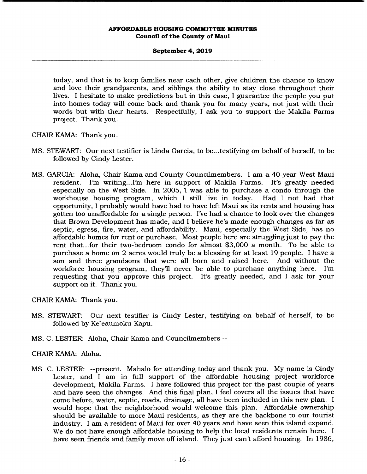## **September 4, 2019**

today, and that is to keep families near each other, give children the chance to know and love their grandparents, and siblings the ability to stay close throughout their lives. I hesitate to make predictions but in this case, I guarantee the people you put into homes today will come back and thank you for many years, not just with their words but with their hearts. Respectfully, I ask you to support the Makila Farms project. Thank you.

CHAIR KAMA: Thank you.

- MS. STEWART: Our next testifier is Linda Garcia, to be.. .testifying on behalf of herself, to be followed by Cindy Lester.
- MS. GARCIA: Aloha, Chair Kama and County Councilmembers. I am a 40-year West Maui resident. I'm writing.. .I'm here in support of Makila Farms. It's greatly needed especially on the West Side. In 2005, 1 was able to purchase a condo through the workhouse housing program, which I still live in today. Had I not had that opportunity, I probably would have had to have left Maui as its rents and housing has gotten too unaffordable for a single person. I've had a chance to look over the changes that Brown Development has made, and I believe he's made enough changes as far as septic, egress, fire, water, and affordability. Maui, especially the West Side, has no affordable homes for rent or purchase. Most people here are struggling just to pay the rent that... for their two-bedroom condo for almost \$3,000 a month. To be able to purchase a home on 2 acres would truly be a blessing for at least 19 people. I have a son and three grandsons that were all born and raised here. And without the workforce housing program, they'll never be able to purchase anything here. I'm requesting that you approve this project. It's greatly needed, and I ask for your support on it. Thank you.

CHAIR KAMA: Thank you.

- MS. STEWART: Our next testifier is Cindy Lester, testifying on behalf of herself, to be followed by Ke`eaumoku Kapu.
- MS. C. LESTER: Aloha, Chair Kama and Councilmembers

# CHAIR KAMA: Aloha.

MS. C. LESTER: --present. Mahalo for attending today and thank you. My name is Cindy Lester, and I am in full support of the affordable housing project workforce development, Makila Farms. I have followed this project for the past couple of years and have seen the changes. And this final plan, I feel covers all the issues that have come before, water, septic, roads, drainage, all have been included in this new plan. I would hope that the neighborhood would welcome this plan. Affordable ownership should be available to more Maui residents, as they are the backbone to our tourist industry. I am a resident of Maui for over 40 years and have seen this island expand. We do not have enough affordable housing to help the local residents remain here. I have seen friends and family move off island. They just can't afford housing. In 1986,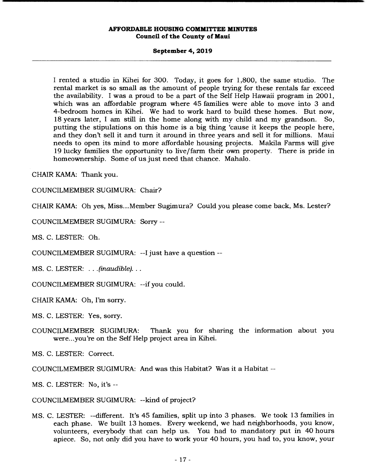#### **September 4, 2019**

I rented a studio in Kihei for 300. Today, it goes for 1,800, the same studio. The rental market is so small as the amount of people trying for these rentals far exceed the availability. I was a proud to be a part of the Self Help Hawaii program in 2001, which was an affordable program where 45 families were able to move into 3 and 4-bedroom homes in Kihei. We had to work hard to build these homes. But now, 18 years later, I am still in the home along with my child and my grandson. So, putting the stipulations on this home is a big thing 'cause it keeps the people here, and they don't sell it and turn it around in three years and sell it for millions. Maui needs to open its mind to more affordable housing projects. Makila Farms will give 19 lucky families the opportunity to live/farm their own property. There is pride in homeownership. Some of us just need that chance. Mahalo.

CHAIR KAMA: Thank you.

COUNCILMEMBER SUGIMURA: Chair?

CHAIR KAMA: Oh yes, Miss... Member Sugimura? Could you please come back, Ms. Lester?

COUNCILMEMBER SUGIMURA: Sorry --

MS. C. LESTER: Oh.

COUNCILMEMBER SUGIMURA: --I just have a question --

MS. C. LESTER: . . . *(inaudible)...* 

COUNCILMEMBER SUGIMURA: --if you could.

CHAIR KAMA: Oh, I'm sorry.

MS. C. LESTER: Yes, sorry.

COUNCILMEMBER SUGIMURA: Thank you for sharing the information about you were... you're on the Self Help project area in Kihei.

MS. C. LESTER: Correct.

COUNCILMEMBER SUGIMURA: And was this Habitat? Was it a Habitat --

MS. C. LESTER: No, it's --

COUNCILMEMBER SUGIMURA: --kind of project?

MS. C. LESTER: --different. It's 45 families, split up into 3 phases. We took 13 families in each phase. We built 13 homes. Every weekend, we had neighborhoods, you know, volunteers, everybody that can help us. You had to mandatory put in 40 hours apiece. So, not only did you have to work your 40 hours, you had to, you know, your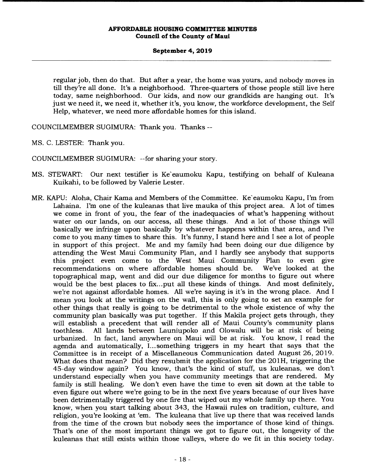## **September 4, 2019**

regular job, then do that. But after a year, the home was yours, and nobody moves in till they're all done. It's a neighborhood. Three-quarters of those people still live here today, same neighborhood. Our kids, and now our grandkids are hanging out. It's just we need it, we need it, whether it's, you know, the workforce development, the Self Help, whatever, we need more affordable homes for this island.

COUNCILMEMBER SUGIMURA: Thank you. Thanks --

MS. C. LESTER: Thank you.

COUNCILMEMBER SUGIMURA: --for sharing your story.

- MS. STEWART: Our next testifier is Ke`eaumoku Kapu, testifying on behalf of Kuleana Kuikahi, to be followed by Valerie Lester.
- MR. KAPU: Aloha, Chair Kama and Members of the Committee. Ke`eaumoku Kapu, I'm from Lahaina. I'm one of the kuleanas that live mauka of this project area. A lot of times we come in front of you, the fear of the inadequacies of what's happening without water on our lands, on our access, all these things. And a lot of those things will basically we infringe upon basically by whatever happens within that area, and I've come to you many times to share this. It's funny, I stand here and I see a lot of people in support of this project. Me and my family had been doing our due diligence by attending the West Maui Community Plan, and I hardly see anybody that supports this project even come to the West Maui Community Plan to even give<br>recommendations on where affordable homes should be. We've looked at the recommendations on where affordable homes should be. topographical map, went and did our due diligence for months to figure out where would be the best places to fix... put all these kinds of things. And most definitely, we're not against affordable homes. All we're saying is it's in the wrong place. And I mean you look at the writings on the wall, this is only going to set an example for other things that really is going to be detrimental to the whole existence of why the community plan basically was put together. If this Makila project gets through, they will establish a precedent that will render all of Maui County's community plans toothless. All lands between Launiupoko and Olowalu will be at risk of being urbanized. In fact, land anywhere on Maui will be at risk. You know, I read the agenda and automatically, I... something triggers in my heart that says that the Committee is in receipt of a Miscellaneous Communication dated August 26, 2019. What does that mean? Did they resubmit the application for the 201H, triggering the 45-day window again? You know, that's the kind of stuff, us kuleanas, we don't understand especially when you have community meetings that are rendered. My family is still healing. We don't even have the time to even sit down at the table to even figure out where we're going to be in the next five years because of our lives have been detrimentally triggered by one fire that wiped out my whole family up there. You know, when you start talking about 343, the Hawaii rules on tradition, culture, and religion, you're looking at 'em. The kuleana that live up there that was received lands from the time of the crown but nobody sees the importance of those kind of things. That's one of the most important things we got to figure out, the longevity of the kuleanas that still exists within those valleys, where do we fit in this society today.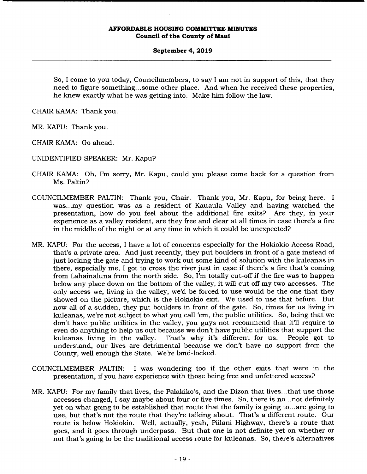#### **September 4, 2019**

So, I come to you today, Councilmembers, to say I am not in support of this, that they need to figure something... some other place. And when he received these properties, he knew exactly what he was getting into. Make him follow the law.

CHAIR KAMA: Thank you.

MR. KAPU: Thank you.

CHAIR KAMA: Go ahead.

UNIDENTIFIED SPEAKER: Mr. Kapu?

- CHAIR KAMA: Oh, I'm sorry, Mr. Kapu, could you please come back for a question from Ms. Paltin?
- COUNCILMEMBER PALTIN: Thank you, Chair. Thank you, Mr. Kapu, for being here. I was.. .my question was as a resident of Kauaula Valley and having watched the presentation, how do you feel about the additional fire exits? Are they, in your experience as a valley resident, are they free and clear at all times in case there's a fire in the middle of the night or at any time in which it could be unexpected?
- MR. KAPU: For the access, I have a lot of concerns especially for the Hokiokio Access Road, that's a private area. And just recently, they put boulders in front of a gate instead of just locking the gate and trying to work out some kind of solution with the kuleanas in there, especially me, I got to cross the river just in case if there's a fire that's coming from Lahainaluna from the north side. So, I'm totally cut-off if the fire was to happen below any place down on the bottom of the valley, it will cut off my two accesses. The only access we, living in the valley, we'd be forced to use would be the one that they showed on the picture, which is the Hokiokio exit. We used to use that before. But now all of a sudden, they put boulders in front of the gate. So, times for us living in kuleanas, we're not subject to what you call 'em, the public utilities. So, being that we don't have public utilities in the valley, you guys not recommend that it'll require to even do anything to help us out because we don't have public utilities that support the kuleanas living in the valley. That's why it's different for us. People got to understand, our lives are detrimental because we don't have no support from the County, well enough the State. We're land-locked.
- COUNCILMEMBER PALTIN: I was wondering too if the other exits that were in the presentation, if you have experience with those being free and unfettered access?
- MR. KAPU: For my family that lives, the Palakiko's, and the Dizon that lives.., that use those accesses changed, I say maybe about four or five times. So, there is no.. .not definitely yet on what going to be established that route that the family is going to... are going to use, but that's not the route that they're talking about. That's a different route. Our route is below Hokiokio. Well, actually, yeah, Piilani Highway, there's a route that goes, and it goes through underpass. But that one is not definite yet on whether or not that's going to be the traditional access route for kuleanas. So, there's alternatives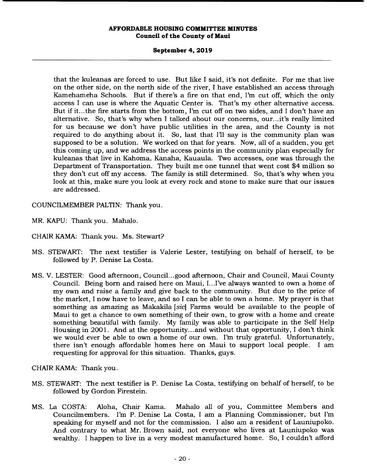## **September 4, 2019**

that the kuleanas are forced to use. But like I said, it's not definite. For me that live on the other side, on the north side of the river, I have established an access through Kamehameha Schools. But if there's a fire on that end, I'm cut off, which the only access I can use is where the Aquatic Center is. That's my other alternative access. But if it.. .the fire starts from the bottom, I'm cut off on two sides, and I don't have an alternative. So, that's why when I talked about our concerns, our.. .it's really limited for us because we don't have public utilities in the area, and the County is not required to do anything about it. So, last that I'll say is the community plan was supposed to be a solution. We worked on that for years. Now, all of a sudden, you get this coming up, and we address the access points in the community plan especially for kuleanas that live in Kahoma, Kanaha, Kauaula. Two accesses, one was through the Department of Transportation. They built me one tunnel that went cost \$4 million so they don't cut off my access. The family is still determined. So, that's why when you look at this, make sure you look at every rock and stone to make sure that our issues are addressed.

COUNCILMEMBER PALTIN: Thank you.

- MR. KAPU: Thank you. Mahalo.
- CHAIR KAMA: Thank you. Ms. Stewart?
- MS. STEWART: The next testifier is Valerie Lester, testifying on behalf of herself, to be followed by P. Denise La Costa.
- MS. V. LESTER: Good afternoon, Council...good afternoon, Chair and Council, Maui County Council. Being born and raised here on Maui, I... I've always wanted to own a home of my own and raise a family and give back to the community. But due to the price of the market, I now have to leave, and so I can be able to own a home. My prayer is that something as amazing as Makakila *[sic]* Farms would be available to the people of Maui to get a chance to own something of their own, to grow with a home and create something beautiful with family. My family was able to participate in the Self Help Housing in 2001. And at the opportunity.., and without that opportunity, I don't think we would ever be able to own a home of our own. I'm truly grateful. Unfortunately, there isn't enough affordable homes here on Maui to support local people. I am requesting for approval for this situation. Thanks, guys.

CHAIR KAMA: Thank you.

- MS. STEWART: The next testifier is P. Denise La Costa, testifying on behalf of herself, to be followed by Gordon Firestein.
- MS. La COSTA: Aloha, Chair Kama. Mahalo all of you, Committee Members and Councilmembers. I'm P. Denise La Costa, I am a Planning Commissioner, but I'm speaking for myself and not for the commission. I also am a resident of Launiupoko. And contrary to what Mr. Brown said, not everyone who lives at Launiupoko was wealthy. I happen to live in a very modest manufactured home. So, I couldn't afford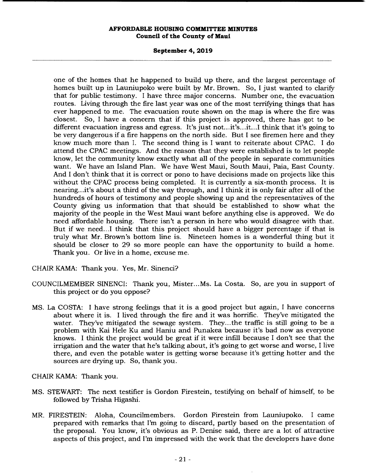#### **September 4, 2019**

one of the homes that he happened to build up there, and the largest percentage of homes built up in Launiupoko were built by Mr. Brown. So, I just wanted to clarify that for public testimony. I have three major concerns. Number one, the evacuation routes. Living through the fire last year was one of the most terrifying things that has ever happened to me. The evacuation route shown on the map is where the fire was closest. So, I have a concern that if this project is approved, there has got to be different evacuation ingress and egress. It's just not... it's... it... I think that it's going to be very dangerous if a fire happens on the north side. But I see firemen here and they know much more than I. The second thing is I want to reiterate about CPAC. I do attend the CPAC meetings. And the reason that they were established is to let people know, let the community know exactly what all of the people in separate communities want. We have an Island Plan. We have West Maui, South Maui, Paia, East County. And I don't think that it is correct or pono to have decisions made on projects like this without the CPAC process being completed. It is currently a six-month process. It is nearing.. .it's about a third of the way through, and I think it is only fair after all of the hundreds of hours of testimony and people showing up and the representatives of the County giving us information that that should be established to show what the majority of the people in the West Maui want before anything else is approved. We do need affordable housing. There isn't a person in here who would disagree with that. But if we need...I think that this project should have a bigger percentage if that is truly what Mr. Brown's bottom line is. Nineteen homes is a wonderful thing but it should be closer to 29 so more people can have the opportunity to build a home. Thank you. Or live in a home, excuse me.

CHAIR KAMA: Thank you. Yes, Mr. Sinenci?

- COUNCILMEMBER SINENCI: Thank you, Mister...Ms. La Costa. So, are you in support of this project or do you oppose?
- MS. La COSTA: I have strong feelings that it is a good project but again, I have concerns about where it is. I lived through the fire and it was horrific. They've mitigated the water. They've mitigated the sewage system. They...the traffic is still going to be a problem with Kai Hele Ku and Haniu and Punakea because it's bad now as everyone knows. I think the project would be great if it were infill because I don't see that the irrigation and the water that he's talking about, it's going to get worse and worse, I live there, and even the potable water is getting worse because it's getting hotter and the sources are drying up. So, thank you.

CHAIR KAMA: Thank you.

- MS. STEWART: The next testifier is Gordon Firestein, testifying on behalf of himself, to be followed by Trisha Higashi.
- MR. FIRESTEIN: Aloha, Councilmembers. Gordon Firestein from Launiupoko. I came prepared with remarks that I'm going to discard, partly based on the presentation of the proposal. You know, it's obvious as P. Denise said, there are a lot of attractive aspects of this project, and I'm impressed with the work that the developers have done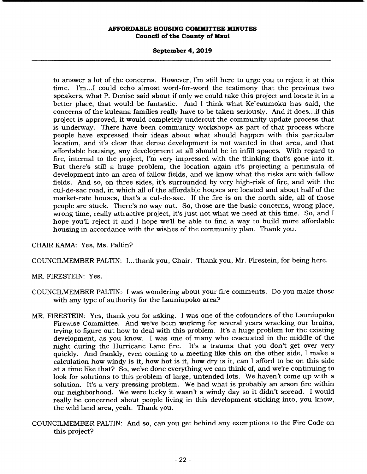## **September 4, 2019**

to answer a lot of the concerns. However, I'm still here to urge you to reject it at this time. I'm... I could echo almost word-for-word the testimony that the previous two speakers, what P. Denise said about if only we could take this project and locate it in a better place, that would be fantastic. And I think what Ke`eaumoku has said, the concerns of the kuleana families really have to be taken seriously. And it does... if this project is approved, it would completely undercut the community update process that is underway. There have been community workshops as part of that process where people have expressed their ideas about what should happen with this particular location, and it's clear that dense development is not wanted in that area, and that affordable housing, any development at all should be in infill spaces. With regard to fire, internal to the project, I'm very impressed with the thinking that's gone into it. But there's still a huge problem, the location again it's projecting a peninsula of development into an area of fallow fields, and we know what the risks are with fallow fields. And so, on three sides, it's surrounded by very high-risk of fire, and with the cul-de-sac road, in which all of the affordable houses are located and about half of the market-rate houses, that's a cul-de-sac. If the fire is on the north side, all of those people are stuck. There's no way out. So, those are the basic concerns, wrong place, wrong time, really attractive project, it's just not what we need at this time. So, and I hope you'll reject it and I hope we'll be able to find a way to build more affordable housing in accordance with the wishes of the community plan. Thank you.

# CHAIR KAMA: Yes, Ms. Paltin?

COUNCILMEMBER PALTIN: I...thank you, Chair. Thank you, Mr. Firestein, for being here.

MR. FIRESTEIN: Yes.

- COUNCILMEMBER PALTIN: I was wondering about your fire comments. Do you make those with any type of authority for the Launiupoko area?
- MR. FIRESTEIN: Yes, thank you for asking. I was one of the cofounders of the Launiupoko Firewise Committee. And we've been working for several years wracking our brains, trying to figure out how to deal with this problem. It's a huge problem for the existing development, as you know. I was one of many who evacuated in the middle of the night during the Hurricane Lane fire. It's a trauma that you don't get over very quickly. And frankly, even coming to a meeting like this on the other side, I make a calculation how windy is it, how hot is it, how dry is it, can I afford to be on this side at a time like that? So, we've done everything we can think of, and we're continuing to look for solutions to this problem of large, untended lots. We haven't come up with a solution. It's a very pressing problem. We had what is probably an arson fire within our neighborhood. We were lucky it wasn't a windy day so it didn't spread. I would really be concerned about people living in this development sticking into, you know, the wild land area, yeah. Thank you.
- COUNCILMEMBER PALTIN: And so, can you get behind any exemptions to the Fire Code on this project?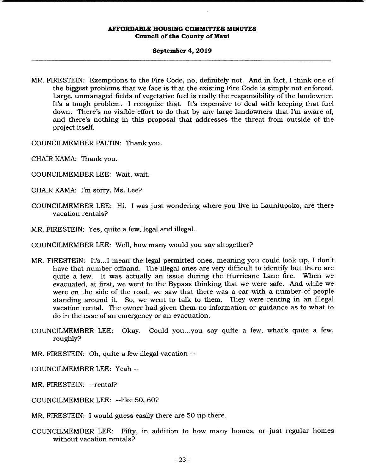#### **September 4, 2019**

MR. FIRESTEIN: Exemptions to the Fire Code, no, definitely not. And in fact, I think one of the biggest problems that we face is that the existing Fire Code is simply not enforced. Large, unmanaged fields of vegetative fuel is really the responsibility of the landowner. It's a tough problem. I recognize that. It's expensive to deal with keeping that fuel down. There's no visible effort to do that by any large landowners that I'm aware of, and there's nothing in this proposal that addresses the threat from outside of the project itself.

COUNCILMEMBER PALTIN: Thank you.

- CHAIR KAMA: Thank you.
- COUNCILMEMBER LEE: Wait, wait.
- CHAIR KAMA: I'm sorry, Ms. Lee?
- COUNCILMEMBER LEE: Hi. I was just wondering where you live in Launiupoko, are there vacation rentals?
- MR. FIRESTEIN: Yes, quite a few, legal and illegal.

COUNCILMEMBER LEE: Well, how many would you say altogether?

- MR. FIRESTEIN: It's.. .1 mean the legal permitted ones, meaning you could look up, I don't have that number offhand. The illegal ones are very difficult to identify but there are quite a few. It was actually an issue during the Hurricane Lane fire. When we evacuated, at first, we went to the Bypass thinking that we were safe. And while we were on the side of the road, we saw that there was a car with a number of people standing around it. So, we went to talk to them. They were renting in an illegal vacation rental. The owner had given them no information or guidance as to what to do in the case of an emergency or an evacuation.
- COUNCILMEMBER LEE: Okay. Could you.. .you say quite a few, what's quite a few, roughly?
- MR. FIRESTEIN: Oh, quite a few illegal vacation --
- COUNCILMEMBER LEE: Yeah --
- MR. FIRESTEIN: --rental?
- COUNCILMEMBER LEE: --like 50, 60?

MR. FIRESTEIN: I would guess easily there are 50 up there.

COUNCILMEMBER LEE: Fifty, in addition to how many homes, or just regular homes without vacation rentals?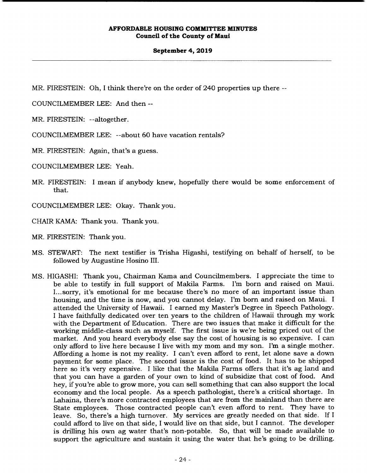#### **September 4, 2019**

MR. FIRESTEIN: Oh, I think there're on the order of 240 properties up there --

COUNCILMEMBER LEE: And then --

MR. FIRESTEIN: --altogether.

COUNCILMEMBER LEE: --about 60 have vacation rentals?

MR. FIRESTEIN: Again, that's a guess.

COUNCILMEMBER LEE: Yeah.

MR. FIRESTEIN: I mean if anybody knew, hopefully there would be some enforcement of that.

COUNCILMEMBER LEE: Okay. Thank you.

CHAIR KAMA: Thank you. Thank you.

MR. FIRESTEIN: Thank you.

- MS. STEWART: The next testifier is Trisha Higashi, testifying on behalf of herself, to be followed by Augustine Hosino III.
- MS. HIGASHI: Thank you, Chairman Kama and Councilmembers. I appreciate the time to be able to testify in full support of Makila Farms. I'm born and raised on Maui. I... sorry, it's emotional for me because there's no more of an important issue than housing, and the time is now, and you cannot delay. I'm born and raised on Maui. I attended the University of Hawaii. I earned my Master's Degree in Speech Pathology. I have faithfully dedicated over ten years to the children of Hawaii through my work with the Department of Education. There are two issues that make it difficult for the working middle-class such as myself. The first issue is we're being priced out of the market. And you heard everybody else say the cost of housing is so expensive. I can only afford to live here because I live with my mom and my son. I'm a single mother. Affording a home is not my reality. I can't even afford to rent, let alone save a down payment for some place. The second issue is the cost of food. It has to be shipped here so it's very expensive. I like that the Makila Farms offers that it's ag land and that you can have a garden of your own to kind of subsidize that cost of food. And hey, if you're able to grow more, you can sell something that can also support the local economy and the local people. As a speech pathologist, there's a critical shortage. In Lahaina, there's more contracted employees that are from the mainland than there are State employees. Those contracted people can't even afford to rent. They have to leave. So, there's a high turnover. My services are greatly needed on that side. If I could afford to live on that side, I would live on that side, but I cannot. The developer is drilling his own ag water that's non-potable. So, that will be made available to support the agriculture and sustain it using the water that he's going to be drilling.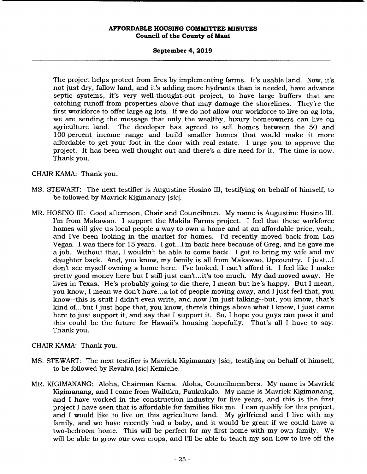#### **September 4, 2019**

The project helps protect from fires by implementing farms. It's usable land. Now, it's not just dry, fallow land, and it's adding more hydrants than is needed, have advance septic systems, it's very well-thought-out project, to have large buffers that are catching runoff from properties above that may damage the shorelines. They're the first workforce to offer large ag lots. If we do not allow our workforce to live on ag lots, we are sending the message that only the wealthy, luxury homeowners can live on agriculture land. The developer has agreed to sell homes between the 50 and 100 percent income range and build smaller homes that would make it more affordable to get your foot in the door with real estate. I urge you to approve the project. It has been well thought out and there's a dire need for it. The time is now. Thank you.

CHAIR KAMA: Thank you.

- MS. STEWART: The next testifier is Augustine Hosino III, testifying on behalf of himself, to be followed by Mavrick Kigimanary *[sic].*
- MR. HOSINO III: Good afternoon, Chair and Councilmen. My name is Augustine Hosino III. I'm from Makawao. I support the Makila Farms project. I feel that these workforce homes will give us local people a way to own a home and at an affordable price, yeah, and I've been looking in the market for homes. I'd recently moved back from Las Vegas. I was there for 15 years. I got.. .I'm back here because of Greg, and he gave me a job. Without that, I wouldn't be able to come back. I got to bring my wife and my daughter back. And, you know, my family is all from Makawao, Upcountry. I just...I don't see myself owning a home here. I've looked, I can't afford it. I feel like I make pretty good money here but I still just can't... it's too much. My dad moved away. He lives in Texas. He's probably going to die there, I mean but he's happy. But I mean, you know, I mean we don't have.., a lot of people moving away, and I just feel that, you know--this is stuff I didn't even write, and now I'm just talking--but, you know, that's kind of... but I just hope that, you know, there's things above what I know, I just came here to just support it, and say that I support it. So, I hope you guys can pass it and this could be the future for Hawaii's housing hopefully. That's all I have to say. Thank you.

CHAIR KAMA: Thank you.

- MS. STEWART: The next testifier is Mavrick Kigimanary *[sic],* testifying on behalf of himself, to be followed by Revalva *[sic]* Kemiche.
- MR. KIGIMANANG: Aloha, Chairman Kama. Aloha, Councilmembers. My name is Mavrick Kigimanang, and I come from Wailuku, Paukukalo. My name is Mavrick Kigimanang, and I have worked in the construction industry for five years, and this is the first project I have seen that is affordable for families like me. I can qualify for this project, and I would like to live on this agriculture land. My girlfriend and I live with my family, and we have recently had a baby, and it would be great if we could have a two-bedroom home. This will be perfect for my first home with my own family. We will be able to grow our own crops, and I'll be able to teach my son how to live off the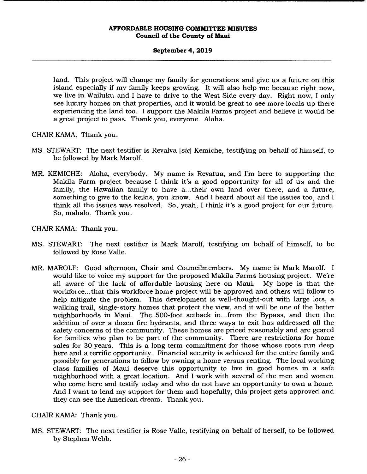## **September 4, 2019**

land. This project will change my family for generations and give us a future on this island especially if my family keeps growing. It will also help me because right now, we live in Wailuku and I have to drive to the West Side every day. Right now, I only see luxury homes on that properties, and it would be great to see more locals up there experiencing the land too. I support the Makila Farms project and believe it would be a great project to pass. Thank you, everyone. Aloha.

CHAIR KAMA: Thank you.

- MS. STEWART: The next testifier is Revalva *[sic]* Kemiche, testifying on behalf of himself, to be followed by Mark Marolf.
- MR. KEMICHE: Aloha, everybody. My name is Revatua, and I'm here to supporting the Makila Farm project because I think it's a good opportunity for all of us and the family, the Hawaiian family to have a... their own land over there, and a future, something to give to the keikis, you know. And I heard about all the issues too, and I think all the issues was resolved. So, yeah, I think it's a good project for our future. So, mahalo. Thank you.

CHAIR KAMA: Thank you.

- MS. STEWART: The next testifier is Mark Maroll, testifying on behalf of himself, to be followed by Rose Valle.
- MR. MAROLF: Good afternoon, Chair and Councilmembers. My name is Mark Marolf. I would like to voice my support for the proposed Makila Farms housing project. We're all aware of the lack of affordable housing here on Maui. My hope is that the workforce.. . that this workforce home project will be approved and others will follow to help mitigate the problem. This development is well-thought-out with large lots, a walking trail, single-story homes that protect the view, and it will be one of the better neighborhoods in Maui. The 500-foot setback in.. .from the Bypass, and then the addition of over a dozen fire hydrants, and three ways to exit has addressed all the safety concerns of the community. These homes are priced reasonably and are geared for families who plan to be part of the community. There are restrictions for home sales for 30 years. This is a long-term commitment for those whose roots run deep here and a terrific opportunity. Financial security is achieved for the entire family and possibly for generations to follow by owning a home versus renting. The local working class families of Maui deserve this opportunity to live in good homes in a safe neighborhood with a great location. And I work with several of the men and women who come here and testify today and who do not have an opportunity to own a home. And I want to lend my support for them and hopefully, this project gets approved and they can see the American dream. Thank you.

CHAIR KAMA: Thank you.

MS. STEWART: The next testifier is Rose Valle, testifying on behalf of herself, to be followed by Stephen Webb.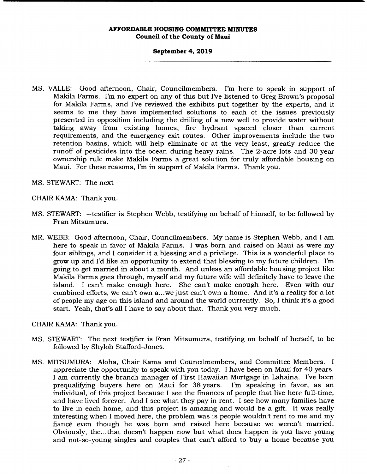#### **September 4, 2019**

MS. VALLE: Good afternoon, Chair, Councilmembers. I'm here to speak in support of Makila Farms. I'm no expert on any of this but I've listened to Greg Brown's proposal for Makila Farms, and I've reviewed the exhibits put together by the experts, and it seems to me they have implemented solutions to each of the issues previously presented in opposition including the drilling of a new well to provide water without taking away from existing homes, fire hydrant spaced closer than current requirements, and the emergency exit routes. Other improvements include the two retention basins, which will help eliminate or at the very least, greatly reduce the runoff of pesticides into the ocean during heavy rains. The 2-acre lots and 30-year ownership rule make Makila Farms a great solution for truly affordable housing on Maui. For these reasons, I'm in support of Makila Farms. Thank you.

MS. STEWART: The next --

CHAIR KAMA: Thank you.

- MS. STEWART: --testifier is Stephen Webb, testifying on behalf of himself, to be followed by Fran Mitsumura.
- MR. WEBB: Good afternoon, Chair, Councilmembers. My name is Stephen Webb, and I am here to speak in favor of Makila Farms. I was born and raised on Maui as were my four siblings, and I consider it a blessing and a privilege. This is a wonderful place to grow up and I'd like an opportunity to extend that blessing to my future children. I'm going to get married in about a month. And unless an affordable housing project like Makila Farms goes through, myself and my future wife will definitely have to leave the island. I can't make enough here. She can't make enough here. Even with our combined efforts, we can't own a ... we just can't own a home. And it's a reality for a lot of people my age on this island and around the world currently. So, I think it's a good start. Yeah, that's all I have to say about that. Thank you very much.

CHAIR KAMA: Thank you.

- MS. STEWART: The next testifier is Fran Mitsumura, testifying on behalf of herself, to be followed by Shyloh Stafford-Jones.
- MS. MITSUMURA: Aloha, Chair Kama and Councilmembers, and Committee Members. I appreciate the opportunity to speak with you today. I have been on Maui for 40 years. I am currently the branch manager of First Hawaiian Mortgage in Lahaina. I've been prequalifying buyers here on Maui for 38 years. I'm speaking in favor, as an individual, of this project because I see the finances of people that live here full-time, and have lived forever. And I see what they pay in rent. I see how many families have to live in each home, and this project is amazing and would be a gift. It was really interesting when I moved here, the problem was is people wouldn't rent to me and my fiancé even though he was born and raised here because we weren't married. Obviously, the... that doesn't happen now but what does happen is you have young and not-so-young singles and couples that can't afford to buy a home because you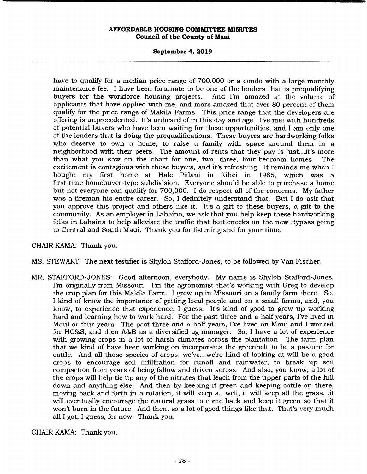## **September 4, 2019**

have to qualify for a median price range of 700,000 or a condo with a large monthly maintenance fee. I have been fortunate to be one of the lenders that is prequalifying buyers for the workforce housing projects. And I'm amazed at the volume of buyers for the workforce housing projects. applicants that have applied with me, and more amazed that over 80 percent of them qualify for the price range of Makila Farms. This price range that the developers are offering is unprecedented. It's unheard of in this day and age. I've met with hundreds of potential buyers who have been waiting for these opportunities, and I am only one of the lenders that is doing the prequalifications. These buyers are hardworking folks who deserve to own a home, to raise a family with space around them in a neighborhood with their peers. The amount of rents that they pay is just... it's more than what you saw on the chart for one, two, three, four-bedroom homes. The excitement is contagious with these buyers, and it's refreshing. It reminds me when I bought my first home at Hale Piilani in Kihei in 1985, which was a first-time-homebuyer-type subdivision. Everyone should be able to purchase a home but not everyone can qualify for 700,000. I do respect all of the concerns. My father was a fireman his entire career. So, I definitely understand that. But I do ask that you approve this project and others like it. It's a gift to these buyers, a gift to the community. As an employer in Lahaina, we ask that you help keep these hardworking folks in Lahaina to help alleviate the traffic that bottlenecks on the new Bypass going to Central and South Maui. Thank you for listening and for your time.

CHAIR KAMA: Thank you.

MS. STEWART: The next testifier is Shyloh Stafford-Jones, to be followed by Van Fischer.

MR. STAFFORD-JONES: Good afternoon, everybody. My name is Shyloh Stafford-Jones. I'm originally from Missouri. I'm the agronomist that's working with Greg to develop the crop plan for this Makila Farm. I grew up in Missouri on a family farm there. So, I kind of know the importance of getting local people and on a small farms, and, you know, to experience that experience, I guess. It's kind of good to grow up working hard and learning how to work hard. For the past three-and-a-half years, I've lived in Maui or four years. The past three-and-a-half years, I've lived on Maui and I worked for HC&S, and then A&B as a diversified ag manager. So, I have a lot of experience with growing crops in a lot of harsh climates across the plantation. The farm plan that we kind of have been working on incorporates the greenbelt to be a pasture for cattle. And all those species of crops, we've.. .we're kind of looking at will be a good crops to encourage soil infiltration for runoff and rainwater, to break up soil compaction from years of being fallow and driven across. And also, you know, a lot of the crops will help tie up any of the nitrates that leach from the upper parts of the hill down and anything else. And then by keeping it green and keeping cattle on there, moving back and forth in a rotation, it will keep a.. .well, it will keep all the grass.. .it will eventually encourage the natural grass to come back and keep it green so that it won't burn in the future. And then, so a lot of good things like that. That's very much all I got, I guess, for now. Thank you.

CHAIR KAMA: Thank you.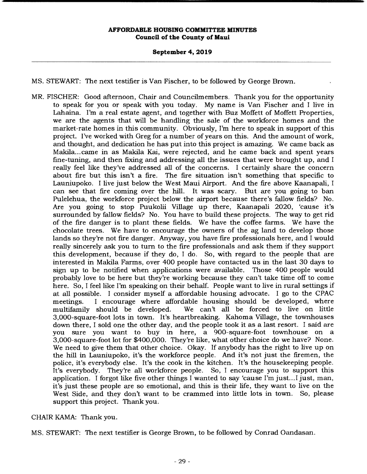#### **September 4, 2019**

MS. STEWART: The next testifier is Van Fischer, to be followed by George Brown.

MR. FISCHER: Good afternoon, Chair and Councilmembers. Thank you for the opportunity to speak for you or speak with you today. My name is Van Fischer and I live in Lahaina. I'm a real estate agent, and together with Buz Moffett of Moffett Properties, we are the agents that will be handling the sale of the workforce homes and the market-rate homes in this community. Obviously, I'm here to speak in support of this project. I've worked with Greg for a number of years on this. And the amount of work, and thought, and dedication he has put into this project is amazing. We came back as Makila... came in as Makila Kai, were rejected, and he came back and spent years fine-tuning, and then fixing and addressing all the issues that were brought up, and I really feel like they've addressed all of the concerns. I certainly share the concern about fire but this isn't a fire. The fire situation isn't something that specific to Launiupoko. I live just below the West Maui Airport. And the fire above Kaanapali, I can see that fire coming over the hill. It was scary. But are you going to ban Pulelehua, the workforce project below the airport because there's fallow fields? No. Are you going to stop Puukolii Village up there, Kaanapali 2020, 'cause it's surrounded by fallow fields? No. You have to build these projects. The way to get rid of the fire danger is to plant these fields. We have the coffee farms. We have the chocolate trees. We have to encourage the owners of the ag land to develop those lands so they're not fire danger. Anyway, you have fire professionals here, and I would really sincerely ask you to turn to the fire professionals and ask them if they support this development, because if they do, I do. So, with regard to the people that are interested in Makila Farms, over 400 people have contacted us in the last 30 days to sign up to be notified when applications were available. Those 400 people would probably love to be here but they're working because they can't take time off to come here. So, I feel like I'm speaking on their behalf. People want to live in rural settings if at all possible. I consider myself a affordable housing advocate. I go to the CPAC meetings. I encourage where affordable housing should be developed, where multifamily should be developed. We can't all be forced to live on little 3,000-square-foot lots in town. It's heartbreaking. Kahoma Village, the townhouses down there, I sold one the other day, and the people took it as a last resort. I said are you sure you want to buy in here, a 900-square-foot townhouse on a 3,000-square-foot lot for \$400,000. They're like, what other choice do we have? None. We need to give them that other choice. Okay. If anybody has the right to live up on the hill in Launiupoko, it's the workforce people. And it's not just the firemen, the police, it's everybody else. It's the cook in the kitchen. It's the housekeeping people. It's everybody. They're all workforce people. So, I encourage you to support this application. I forgot like five other things I wanted to say 'cause I'm just... I just, man, it's just these people are so emotional, and this is their life, they want to live on the West Side, and they don't want to be crammed into little lots in town. So, please support this project. Thank you.

CHAIR KAMA: Thank you.

MS. STEWART: The next testifier is George Brown, to be followed by Conrad Oandasan.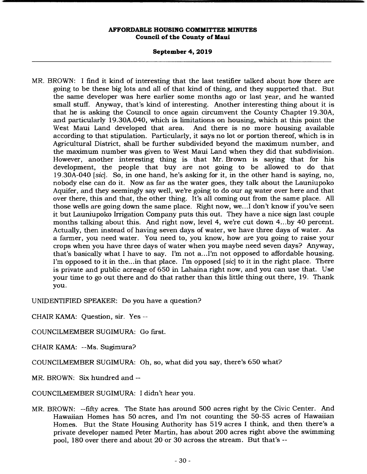#### **September 4, 2019**

MR. BROWN: I find it kind of interesting that the last testifier talked about how there are going to be these big lots and all of that kind of thing, and they supported that. But the same developer was here earlier some months ago or last year, and he wanted small stuff. Anyway, that's kind of interesting. Another interesting thing about it is that he is asking the Council to once again circumvent the County Chapter 19.30A, and particularly 19.30A.040, which is limitations on housing, which at this point the West Maui Land developed that area. And there is no more housing available according to that stipulation. Particularly, it says no lot or portion thereof, which is in Agricultural District, shall be further subdivided beyond the maximum number, and the maximum number was given to West Maui Land when they did that subdivision. However, another interesting thing is that Mr. Brown is saying that for his development, the people that buy are not going to be allowed to do that 19.30A-040 *[sic].* So, in one hand, he's asking for it, in the other hand is saying, no, nobody else can do it. Now as far as the water goes, they talk about the Launiupoko Aquifer, and they seemingly say well, we're going to do our ag water over here and that over there, this and that, the other thing. It's all coming out from the same place. All those wells are going down the same place. Right now, we... I don't know if you've seen it but Launiupoko Irrigation Company puts this out. They have a nice sign last couple months talking about this. And right now, level 4, we're cut down 4...by 40 percent. Actually, then instead of having seven days of water, we have three days of water. As a farmer, you need water. You need to, you know, how are you going to raise your crops when you have three days of water when you maybe need seven days? Anyway, that's basically what I have to say. I'm not a... I'm not opposed to affordable housing. I'm opposed to it in the.. .in that place. I'm opposed *[sic]* to it in the right place. There is private and public acreage of 650 in Lahaina right now, and you can use that. Use your time to go out there and do that rather than this little thing out there, 19. Thank you.

UNIDENTIFIED SPEAKER: Do you have a question?

CHAIR KAMA: Question, sir. Yes --

COUNCILMEMBER SUGIMURA: Go first.

CHAIR KAMA: --Ms. Sugimura?

COUNCILMEMBER SUGIMURA: Oh, so, what did you say, there's 650 what?

MR. BROWN: Six hundred and --

COUNCILMEMBER SUGIMURA: I didn't hear you.

MR. BROWN: --fifty acres. The State has around 500 acres right by the Civic Center. And Hawaiian Homes has 50 acres, and I'm not counting the 50-55 acres of Hawaiian Homes. But the State Housing Authority has 519 acres I think, and then there's a private developer named Peter Martin, has about 200 acres right above the swimming pool, 180 over there and about 20 or 30 across the stream. But that's --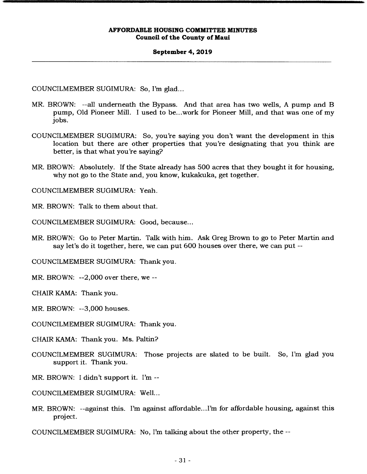#### **September 4, 2019**

COUNCILMEMBER SUGIMURA: So, I'm glad...

- MR. BROWN: --all underneath the Bypass. And that area has two wells, A pump and B pump, Old Pioneer Mill. I used to be.. .work for Pioneer Mill, and that was one of my jobs.
- COUNCILMEMBER SUGIMURA: So, you're saying you don't want the development in this location but there are other properties that you're designating that you think are better, is that what you're saying?
- MR. BROWN: Absolutely. If the State already has 500 acres that they bought it for housing, why not go to the State and, you know, kukakuka, get together.

COUNCILMEMBER SUGIMURA: Yeah.

MR. BROWN: Talk to them about that.

COUNCILMEMBER SUGIMURA: Good, because...

MR. BROWN: Go to Peter Martin. Talk with him. Ask Greg Brown to go to Peter Martin and say let's do it together, here, we can put 600 houses over there, we can put --

COUNCILMEMBER SUGIMURA: Thank you.

MR. BROWN: --2,000 over there, we --

CHAIR KAMA: Thank you.

MR. BROWN: --3,000 houses.

COUNCILMEMBER SUGIMURA: Thank you.

CHAIR KAMA: Thank you. Ms. Paltin?

- COUNCILMEMBER SUGIMURA: Those projects are slated to be built. So, I'm glad you support it. Thank you.
- MR. BROWN: I didn't support it. I'm --

COUNCILMEMBER SUGIMURA: Well...

MR. BROWN: --against this. I'm against affordable... I'm for affordable housing, against this project.

COUNCILMEMBER SUGIMURA: No, I'm talking about the other property, the --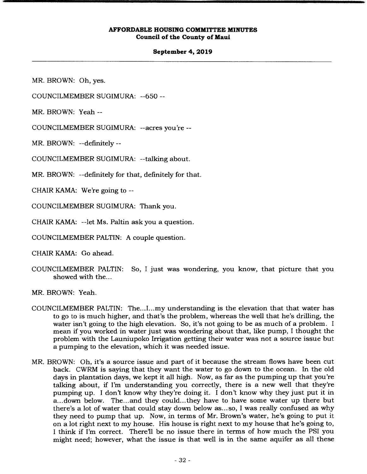#### **September 4, 2019**

MR. BROWN: Oh, yes.

COUNCILMEMBER SUGIMURA: --

MR. BROWN: Yeah --

COUNCILMEMBER SUGIMURA: --acres you're --

MR. BROWN: --definitely --

COUNCILMEMBER SUGIMURA: --talking about.

MR. BROWN: --definitely for that, definitely for that.

CHAIR KAMA: We're going to --

COUNCILMEMBER SUGIMURA: Thank you.

CHAIR KAMA: --let Ms. Paltin ask you a question.

COUNCILMEMBER PALTIN: A couple question.

CHAIR KAMA: Go ahead.

COUNCILMEMBER PALTIN: So, I just was wondering, you know, that picture that you showed with the...

MR. BROWN: Yeah.

- COUNCILMEMBER PALTIN: The....I...my understanding is the elevation that that water has to go to is much higher, and that's the problem, whereas the well that he's drilling, the water isn't going to the high elevation. So, it's not going to be as much of a problem. I mean if you worked in water just was wondering about that, like pump, I thought the problem with the Launiupoko Irrigation getting their water was not a source issue but a pumping to the elevation, which it was needed issue.
- MR. BROWN: Oh, it's a source issue and part of it because the stream flows have been cut back. CWRM is saying that they want the water to go down to the ocean. In the old days in plantation days, we kept it all high. Now, as far as the pumping up that you're talking about, if I'm understanding you correctly, there is a new well that they're pumping up. I don't know why they're doing it. I don't know why they just put it in a... down below. The... and they could.. .they have to have some water up there but there's a lot of water that could stay down below as... so, I was really confused as why they need to pump that up. Now, in terms of Mr. Brown's water, he's going to put it on a lot right next to my house. His house is right next to my house that he's going to, I think if I'm correct. There'll be no issue there in terms of how much the PSI you might need; however, what the issue is that well is in the same aquifer as all these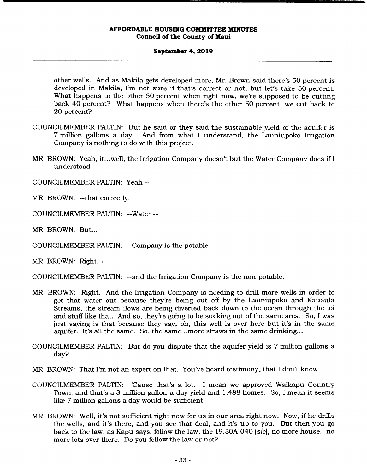## **September 4, 2019**

other wells. And as Makila gets developed more, Mr. Brown said there's 50 percent is developed in Makila, I'm not sure if that's correct or not, but let's take 50 percent. What happens to the other 50 percent when right now, we're supposed to be cutting back 40 percent? What happens when there's the other 50 percent, we cut back to 20 percent?

- COUNCILMEMBER PALTIN: But he said or they said the sustainable yield of the aquifer is 7 million gallons a day. And from what I understand, the Launiupoko Irrigation Company is nothing to do with this project.
- MR. BROWN: Yeah, it.. .well, the Irrigation Company doesn't but the Water Company does if I understood --

COUNCILMEMBER PALTIN: Yeah --

MR. BROWN: --that correctly.

COUNCILMEMBER PALTIN: --Water --

MR. BROWN: But...

COUNCILMEMBER PALTIN: --Company is the potable --

MR. BROWN: Right.

COUNCILMEMBER PALTIN: --and the Irrigation Company is the non-potable.

- MR. BROWN: Right. And the Irrigation Company is needing to drill more wells in order to get that water out because they're being cut off by the Launiupoko and Kauaula Streams, the stream flows are being diverted back down to the ocean through the loi and stuff like that. And so, they're going to be sucking out of the same area. So, I was just saying is that because they say, oh, this well is over here but it's in the same aquifer. It's all the same. So, the same.. .more straws in the same drinking...
- COUNCILMEMBER PALTIN: But do you dispute that the aquifer yield is 7 million gallons a day?

MR. BROWN: That I'm not an expert on that. You've heard testimony, that I don't know.

- COUNCILMEMBER PALTIN: 'Cause that's a lot. I mean we approved Waikapu Country Town, and that's a 3-million-gallon-a-day yield and 1,488 homes. So, I mean it seems like 7 million gallons a day would be sufficient.
- MR. BROWN: Well, it's not sufficient right now for us in our area right now. Now, if he drills the wells, and it's there, and you see that deal, and it's up to you. But then you go back to the law, as Kapu says, follow the law, the 19.30A-040 *[sic],* no more house. ..no more lots over there. Do you follow the law or not?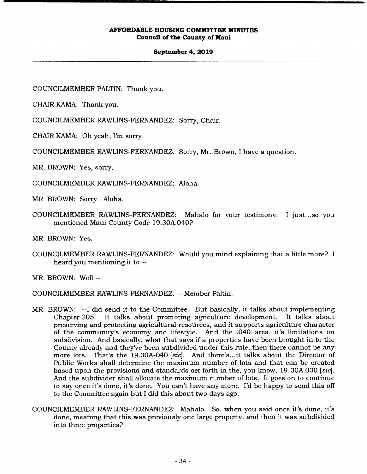#### **September 4, 2019**

COUNCILMEMBER PALTIN: Thank you.

CHAIR KAMA: Thank you.

COUNCILMEMBER RAWLINS-FERNANDEZ: Sorry, Chair.

CHAIR KAMA: Oh yeah, I'm sorry.

COUNCILMEMBER RAWLINS-FERNANDEZ: Sorry, Mr. Brown, I have a question.

MR. BROWN: Yes, sorry.

COUNCILMEMBER RAWLINS-FERNANDEZ: Aloha.

MR. BROWN: Sorry. Aloha.

COUNCILMEMBER RAWLINS-FERNANDEZ: Mahalo for your testimony. I just... so you mentioned Maui County Code 19.30A.040?

MR. BROWN: Yes.

COUNCILMEMBER RAWLINS-FERNANDEZ: Would you mind explaining that a little more? I heard you mentioning it to --

MR. BROWN: Well --

COUNCILMEMBER RAWLINS-FERNANDEZ: --Member Paltin.

- MR. BROWN: --I did send it to the Committee. But basically, it talks about implementing Chapter 205. It talks about promoting agriculture development. It talks about preserving and protecting agricultural resources, and it supports agriculture character of the community's economy and lifestyle. And the .040 area, it's limitations on subdivision. And basically, what that says if a properties have been brought in to the County already and they've been subdivided under this rule, then there cannot be any more lots. That's the 19.30A-040 *[sic].* And there's.. .it talks about the Director of Public Works shall determine the maximum number of lots and that can be created based upon the provisions and standards set forth in the, you know, 19-30A.030 *[sic].*  And the subdivider shall allocate the maximum number of lots. It goes on to continue to say once it's done, it's done. You can't have any more. I'd be happy to send this off to the Committee again but I did this about two days ago.
- COUNCILMEMBER RAWLINS-FERNANDEZ: Mahalo. So, when you said once it's done, it's done, meaning that this was previously one large property, and then it was subdivided into three properties?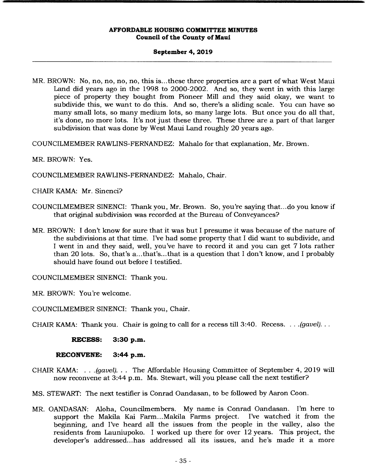#### **September 4, 2019**

MR. BROWN: No, no, no, no, no, this is.. .these three properties are a part of what West Maui Land did years ago in the 1998 to 2000-2002. And so, they went in with this large piece of property they bought from Pioneer Mill and they said okay, we want to subdivide this, we want to do this. And so, there's a sliding scale. You can have so many small lots, so many medium lots, so many large lots. But once you do all that, it's done, no more lots. It's not just these three. These three are a part of that larger subdivision that was done by West Maui Land roughly 20 years ago.

COUNCILMEMBER RAWLINS-FERNANDEZ: Mahalo for that explanation, Mr. Brown.

MR. BROWN: Yes.

COUNCILMEMBER RAWLINS-FERNANDEZ: Mahalo, Chair.

CHAIR KAMA: Mr. Sinenci?

- COUNCILMEMBER SINENCI: Thank you, Mr. Brown. So, you're saying that.. .do you know if that original subdivision was recorded at the Bureau of Conveyances?
- MR. BROWN: I don't know for sure that it was but I presume it was because of the nature of the subdivisions at that time. I've had some property that I did want to subdivide, and I went in and they said, well, you've have to record it and you can get 7 lots rather than 20 lots. So, that's a...that's...that is a question that I don't know, and I probably should have found out before I testified.

COUNCILMEMBER SINENCI: Thank you.

MR. BROWN: You're welcome.

COUNCILMEMBER SINENCI: Thank you, Chair.

CHAIR KAMA: Thank you. Chair is going to call for a recess till 3:40. Recess. . . *.(gavel)...* 

**RECESS: 3:30 p.m.** 

**RECONVENE: 3:44 p.m.** 

CHAIR KAMA: . . *.(gavel). . .* The Affordable Housing Committee of September 4, 2019 will now reconvene at 3:44 p.m. Ms. Stewart, will you please call the next testifier?

MS. STEWART: The next testifier is Conrad Oandasan, to be followed by Aaron Coon.

MR. OANDASAN: Aloha, Councilmembers. My name is Conrad Oandasan. I'm here to support the Makila Kai Farm...Makila Farms project. I've watched it from the beginning, and I've heard all the issues from the people in the valley, also the residents from Launiupoko. I worked up there for over 12 years. This project, the developer's addressed... has addressed all its issues, and he's made it a more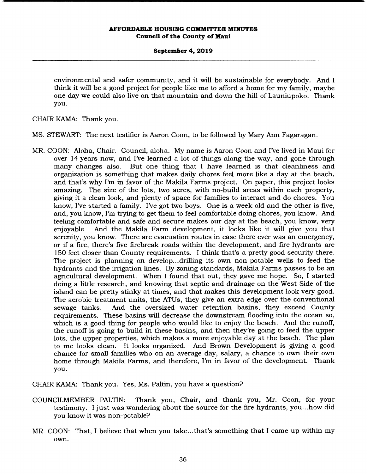## **September 4, 2019**

environmental and safer community, and it will be sustainable for everybody. And I think it will be a good project for people like me to afford a home for my family, maybe one day we could also live on that mountain and down the hill of Launiupoko. Thank you.

CHAIR KAMA: Thank you.

- MS. STEWART: The next testifier is Aaron Coon, to be followed by Mary Ann Fagaragan.
- MR. COON: Aloha, Chair. Council, aloha. My name is Aaron Coon and I've lived in Maui for over 14 years now, and I've learned a lot of things along the way, and gone through many changes also. But one thing that I have learned is that cleanliness and organization is something that makes daily chores feel more like a day at the beach, and that's why I'm in favor of the Makila Farms project. On paper, this project looks amazing. The size of the lots, two acres, with no-build areas within each property, giving it a clean look, and plenty of space for families to interact and do chores. You know, I've started a family. I've got two boys. One is a week old and the other is five, and, you know, I'm trying to get them to feel comfortable doing chores, you know. And feeling comfortable and safe and secure makes our day at the beach, you know, very enjoyable. And the Makila Farm development, it looks like it will give you that serenity, you know. There are evacuation routes in case there ever was an emergency, or if a fire, there's five firebreak roads within the development, and fire hydrants are 150 feet closer than County requirements. I think that's a pretty good security there. The project is planning on develop.., drilling its own non-potable wells to feed the hydrants and the irrigation lines. By zoning standards, Makila Farms passes to be an agricultural development. When I found that out, they gave me hope. So, I started doing a little research, and knowing that septic and drainage on the West Side of the island can be pretty stinky at times, and that makes this development look very good. The aerobic treatment units, the ATUs, they give an extra edge over the conventional sewage tanks. And the oversized water retention basins, they exceed County requirements. These basins will decrease the downstream flooding into the ocean so, which is a good thing for people who would like to enjoy the beach. And the runoff, the runoff is going to build in these basins, and then they're going to feed the upper lots, the upper properties, which makes a more enjoyable day at the beach. The plan to me looks clean. It looks organized. And Brown Development is giving a good chance for small families who on an average day, salary, a chance to own their own home through Makila Farms, and therefore, I'm in favor of the development. Thank you.

CHAIR KAMA: Thank you. Yes, Ms. Paltin, you have a question?

- COUNCILMEMBER PALTIN: Thank you, Chair, and thank you, Mr. Coon, for your testimony. I just was wondering about the source for the fire hydrants, you.. .how did you know it was non-potable?
- MR. COON: That, I believe that when you take.. .that's something that I came up within my own.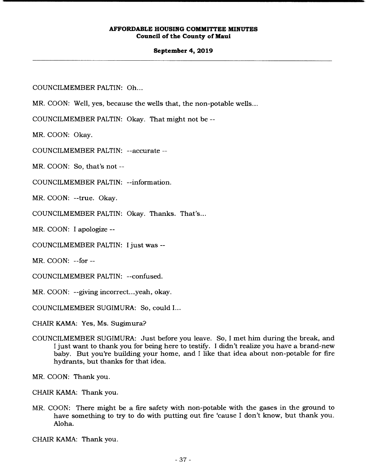#### **September 4, 2019**

COUNCILMEMBER PALTIN: Oh...

MR. COON: Well, yes, because the wells that, the non-potable wells...

COUNCILMEMBER PALTIN: Okay. That might not be --

MR. COON: Okay.

COUNCILMEMBER PALTIN: --accurate --

MR. COON: So, that's not --

COUNCILMEMBER PALTIN: --information.

MR. COON: --true. Okay.

COUNCILMEMBER PALTIN: Okay. Thanks. That's...

MR. COON: I apologize --

COUNCILMEMBER PALTIN: I just was --

MR. COON: --for --

COUNCILMEMBER PALTIN: --confused.

MR. COON: --giving incorrect.. .yeah, okay.

COUNCILMEMBER SUGIMURA: So, could I...

CHAIR KAMA: Yes, Ms. Sugimura?

COUNCILMEMBER SUGIMURA: Just before you leave. So, I met him during the break, and I just want to thank you for being here to testify. I didn't realize you have a brand-new baby. But you're building your home, and I like that idea about non-potable for fire hydrants, but thanks for that idea.

MR. COON: Thank you.

CHAIR KAMA: Thank you.

MR. COON: There might be a fire safety with non-potable with the gases in the ground to have something to try to do with putting out fire 'cause I don't know, but thank you. Aloha.

CHAIR KAMA: Thank you.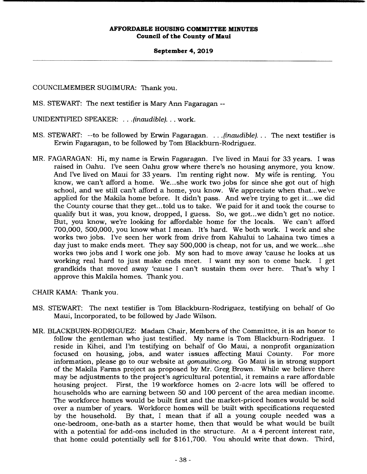#### **September 4, 2019**

COUNCILMEMBER SUGIMURA: Thank you.

MS. STEWART: The next testifier is Mary Ann Fagaragan --

UNIDENTIFIED SPEAKER: . . . *(inaudible). . .* work.

- MS. STEWART: --to be followed by Erwin Fagaragan. *...(inaudible)...* The next testifier is Erwin Fagaragan, to be followed by Tom Blackburn-Rodriguez.
- MR. FAGARAGAN: Hi, my name is Erwin Fagaragan. I've lived in Maui for 33 years. I was raised in Oahu. I've seen Oahu grow where there's no housing anymore, you know. And I've lived on Maui for 33 years. I'm renting right now. My wife is renting. You know, we can't afford a home. We... she work two jobs for since she got out of high school, and we still can't afford a home, you know. We appreciate when that.. .we've applied for the Makila home before. It didn't pass. And we're trying to get it... we did the County course that they get.. .told us to take. We paid for it and took the course to qualify but it was, you know, dropped, I guess. So, we got.. .we didn't get no notice. But, you know, we're looking for affordable home for the locals. We can't afford 700,000, 500,000, you know what I mean. It's hard. We both work. I work and she works two jobs. I've seen her work from drive from Kahului to Lahaina two times a day just to make ends meet. They say 500,000 is cheap, not for us, and we work ... she works two jobs and I work one job. My son had to move away 'cause he looks at us working real hard to just make ends meet. I want my son to come back. I get grandkids that moved away 'cause I can't sustain them over here. That's why I approve this Makila homes. Thank you.

CHAIR KAMA: Thank you.

- MS. STEWART: The next testifier is Tom Blackburn-Rodriguez, testifying on behalf of Go Maui, Incorporated, to be followed by Jade Wilson.
- MR. BLACKBURN-RODRIGUEZ: Madam Chair, Members of the Committee, it is an honor to follow the gentleman who just testified. My name is Tom Blackburn-Rodriguez. I reside in Kihei, and I'm testifying on behalf of Go Maui, a nonprofit organization focused on housing, jobs, and water issues affecting Maui County. For more information, please go to our website at *gomauiinc.org.* Go Maui is in strong support of the Makila Farms project as proposed by Mr. Greg Brown. While we believe there may be adjustments to the project's agricultural potential, it remains a rare affordable housing project. First, the 19 workforce homes on 2-acre lots will be offered to households who are earning between 50 and 100 percent of the area median income. The workforce homes would be built first and the market-priced homes would be sold over a number of years. Workforce homes will be built with specifications requested by the household. By that, I mean that if all a young couple needed was a one-bedroom, one-bath as a starter home, then that would be what would be built with a potential for add-ons included in the structure. At a 4 percent interest rate, that home could potentially sell for \$161,700. You should write that down. Third,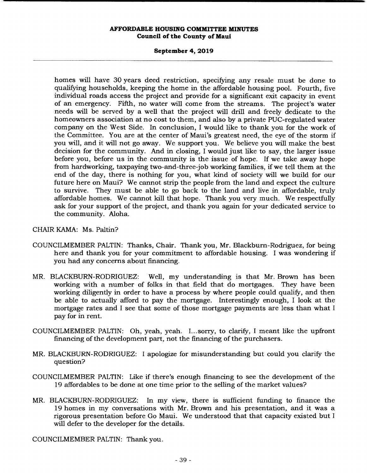## **September 4, 2019**

homes will have 30 years deed restriction, specifying any resale must be done to qualifying households, keeping the home in the affordable housing pool. Fourth, five individual roads access the project and provide for a significant exit capacity in event of an emergency. Fifth, no water will come from the streams. The project's water needs will be served by a well that the project will drill and freely dedicate to the homeowners association at no cost to them, and also by a private PUC-regulated water company on the West Side. In conclusion, I would like to thank you for the work of the Committee. You are at the center of Maui's greatest need, the eye of the storm if you will, and it will not go away. We support you. We believe you will make the best decision for the community. And in closing, I would just like to say, the larger issue before you, before us in the community is the issue of hope. If we take away hope from hardworking, taxpaying two-and-three-job working families, if we tell them at the end of the day, there is nothing for you, what kind of society will we build for our future here on Maui? We cannot strip the people from the land and expect the culture to survive. They must be able to go back to the land and live in affordable, truly affordable homes. We cannot kill that hope. Thank you very much. We respectfully ask for your support of the project, and thank you again for your dedicated service to the community. Aloha.

# CHAIR KAMA: Ms. Paltin?

- COUNCILMEMBER PALTIN: Thanks, Chair. Thank you, Mr. Blackburn-Rodriguez, for being here and thank you for your commitment to affordable housing. I was wondering if you had any concerns about financing.
- MR. BLACKBURN-RODRIGUEZ: Well, my understanding is that Mr. Brown has been working with a number of folks in that field that do mortgages. They have been working diligently in order to have a process by where people could qualify, and then be able to actually afford to pay the mortgage. Interestingly enough, I look at the mortgage rates and I see that some of those mortgage payments are less than what I pay for in rent.
- COUNCILMEMBER PALTIN: Oh, yeah, yeah. I... sorry, to clarify, I meant like the upfront financing of the development part, not the financing of the purchasers.
- MR. BLACKBURN-RODRIGUEZ: I apologize for misunderstanding but could you clarify the question?
- COUNCILMEMBER PALTIN: Like if there's enough financing to see the development of the 19 affordables to be done at one time prior to the selling of the market values?
- MR. BLACKBURN-RODRIGUEZ: In my view, there is sufficient funding to finance the 19 homes in my conversations with Mr. Brown and his presentation, and it was a rigorous presentation before Go Maui. We understood that that capacity existed but I will defer to the developer for the details.

COUNCILMEMBER PALTIN: Thank you.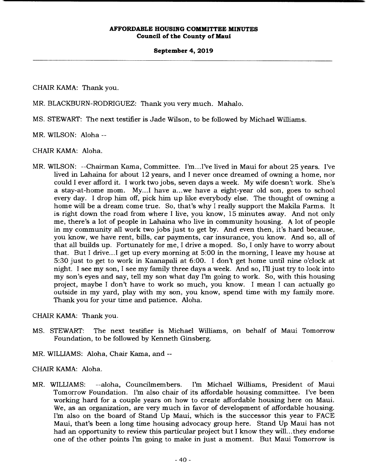## **September 4, 2019**

CHAIR KAMA: Thank you.

MR. BLACKBURN-RODRIGUEZ: Thank you very much. Mahalo.

MS. STEWART: The next testifier is Jade Wilson, to be followed by Michael Williams.

MR. WILSON: Aloha --

CHAIR KAMA: Aloha.

MR. WILSON: --Chairman Kama, Committee. I'm... I've lived in Maui for about 25 years. I've lived in Lahaina for about 12 years, and I never once dreamed of owning a home, nor could I ever afford it. I work two jobs, seven days a week. My wife doesn't work. She's a stay-at-home mom. My...I have a...we have a eight-year old son, goes to school every day. I drop him off, pick him up like everybody else. The thought of owning a home will be a dream come true. So, that's why I really support the Makila Farms. It is right down the road from where I live, you know, 15 minutes away. And not only me, there's a lot of people in Lahaina who live in community housing. A lot of people in my community all work two jobs just to get by. And even then, it's hard because, you know, we have rent, bills, car payments, car insurance, you know. And so, all of that all builds up. Fortunately for me, I drive a moped. So, I only have to worry about that. But I drive...I get up every morning at 5:00 in the morning, I leave my house at 5:30 just to get to work in Kaanapali at 6:00. I don't get home until nine o'clock at night. I see my son, I see my family three days a week. And so, I'll just try to look into my son's eyes and say, tell my son what day I'm going to work. So, with this housing project, maybe I don't have to work so much, you know. I mean I can actually go outside in my yard, play with my son, you know, spend time with my family more. Thank you for your time and patience. Aloha.

CHAIR KAMA: Thank you.

- MS. STEWART: The next testifier is Michael Williams, on behalf of Maui Tomorrow Foundation, to be followed by Kenneth Ginsberg.
- MR. WILLIAMS: Aloha, Chair Kama, and --

# CHAIR KAMA: Aloha.

MR. WILLIAMS: --aloha, Councilmembers. I'm Michael Williams, President of Maui Tomorrow Foundation. I'm also chair of its affordable housing committee. I've been working hard for a couple years on how to create affordable housing here on Maui. We, as an organization, are very much in favor of development of affordable housing. I'm also on the board of Stand Up Maui, which is the successor this year to FACE Maui, that's been a long time housing advocacy group here. Stand Up Maui has not had an opportunity to review this particular project but I know they will... they endorse one of the other points I'm going to make in just a moment. But Maui Tomorrow is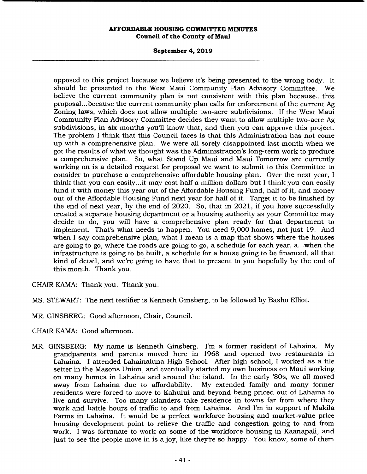# **September 4, 2019**

opposed to this project because we believe it's being presented to the wrong body. It should be presented to the West Maui Community Plan Advisory Committee. We believe the current community plan is not consistent with this plan because... this proposal... because the current community plan calls for enforcement of the current Ag Zoning laws, which does not allow multiple two-acre subdivisions. If the West Maui Community Plan Advisory Committee decides they want to allow multiple two-acre Ag subdivisions, in six months you'll know that, and then you can approve this project. The problem I think that this Council faces is that this Administration has not come up with a comprehensive plan. We were all sorely disappointed last month when we got the results of what we thought was the Administration's long-term work to produce a comprehensive plan. So, what Stand Up Maui and Maui Tomorrow are currently working on is a detailed request for proposal we want to submit to this Committee to consider to purchase a comprehensive affordable housing plan. Over the next year, I think that you can easily... it may cost half a million dollars but I think you can easily fund it with money this year out of the Affordable Housing Fund, half of it, and money out of the Affordable Housing Fund next year for half of it. Target it to be finished by the end of next year, by the end of 2020. So, that in 2021, if you have successfully created a separate housing department or a housing authority as your Committee may decide to do, you will have a comprehensive plan ready for that department to implement. That's what needs to happen. You need 9,000 homes, not just 19. And when I say comprehensive plan, what I mean is a map that shows where the houses are going to go, where the roads are going to go, a schedule for each year, a ... when the infrastructure is going to be built, a schedule for a house going to be financed, all that kind of detail, and we're going to have that to present to you hopefully by the end of this month. Thank you.

- CHAIR KAMA: Thank you. Thank you.
- MS. STEWART: The next testifier is Kenneth Ginsberg, to be followed by Basho Elliot.
- MR. GINSBERG: Good afternoon, Chair, Council.
- CHAIR KAMA: Good afternoon.
- MR. GINSBERG: My name is Kenneth Ginsberg. I'm a former resident of Lahaina. My grandparents and parents moved here in 1968 and opened two restaurants in Lahaina. I attended Lahainaluna High School. After high school, I worked as a tile setter in the Masons Union, and eventually started my own business on Maui working on many homes in Lahaina and around the island. In the early '80s, we all moved away from Lahaina due to affordability. My extended family and many former residents were forced to move to Kahului and beyond being priced out of Lahaina to live and survive. Too many islanders take residence in towns far from where they work and battle hours of traffic to and from Lahaina. And I'm in support of Makila Farms in Lahaina. It would be a perfect workforce housing and market-value price housing development point to relieve the traffic and congestion going to and from work. I was fortunate to work on some of the workforce housing in Kaanapali, and just to see the people move in is a joy, like they're so happy. You know, some of them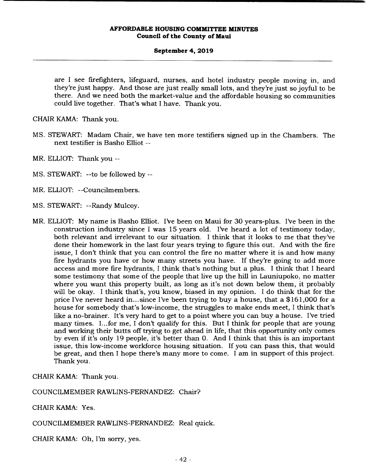#### **September 4, 2019**

are I see firefighters, lifeguard, nurses, and hotel industry people moving in, and they're just happy. And those are just really small lots, and they're just so joyful to be there. And we need both the market-value and the affordable housing so communities could live together. That's what I have. Thank you.

CHAIR KAMA: Thank you.

- MS. STEWART: Madam Chair, we have ten more testifiers signed up in the Chambers. The next testifier is Basho Elliot --
- MR. ELLIOT: Thank you --
- MS. STEWART: --to be followed by --
- MR. ELLIOT: --Councilmembers.
- MS. STEWART: --Randy Mulcoy.
- MR. ELLIOT: My name is Basho Elliot. I've been on Maui for 30 years-plus. I've been in the construction industry since I was 15 years old. I've heard a lot of testimony today, both relevant and irrelevant to our situation. I think that it looks to me that they've done their homework in the last four years trying to figure this out. And with the fire issue, I don't think that you can control the fire no matter where it is and how many fire hydrants you have or how many streets you have. If they're going to add more access and more fire hydrants, I think that's nothing but a plus. I think that I heard some testimony that some of the people that live up the hill in Launiupoko, no matter where you want this property built, as long as it's not down below them, it probably will be okay. I think that's, you know, biased in my opinion. I do think that for the price I've never heard in...since I've been trying to buy a house, that a \$161,000 for a house for somebody that's low-income, the struggles to make ends meet, I think that's like a no-brainer. It's very hard to get to a point where you can buy a house. I've tried many times. I... for me, I don't qualify for this. But I think for people that are young and working their butts off trying to get ahead in life, that this opportunity only comes by even if it's only 19 people, it's better than 0. And I think that this is an important issue, this low-income workforce housing situation. If you can pass this, that would be great, and then I hope there's many more to come. I am in support of this project. Thank you.

CHAIR KAMA: Thank you.

COUNCILMEMBER RAWLINS-FERNANDEZ: Chair?

CHAIR KAMA: Yes.

COUNCILMEMBER RAWLINS-FERNANDEZ: Real quick.

CHAIR KAMA: Oh, I'm sorry, yes.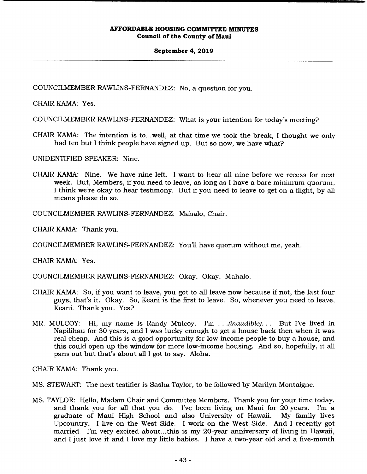#### **September 4, 2019**

COUNCILMEMBER RAWLINS-FERNANDEZ: No, a question for you.

CHAIR KAMA: Yes.

COUNCILMEMBER RAWLINS-FERNANDEZ: What is your intention for today's meeting?

CHAIR KAMA: The intention is to...well, at that time we took the break, I thought we only had ten but I think people have signed up. But so now, we have what?

UNIDENTIFIED SPEAKER: Nine.

CHAIR KAMA: Nine. We have nine left. I want to hear all nine before we recess for next week. But, Members, if you need to leave, as long as I have a bare minimum quorum, I think we're okay to hear testimony. But if you need to leave to get on a flight, by all means please do so.

COUNCILMEMBER RAWLINS-FERNANDEZ: Mahalo, Chair.

CHAIR KAMA: Thank you.

COUNCILMEMBER RAWLINS-FERNANDEZ: You'll have quorum without me, yeah.

CHAIR KAMA: Yes.

COUNCILMEMBER RAWLINS-FERNANDEZ: Okay. Okay. Mahalo.

- CHAIR KAMA: So, if you want to leave, you got to all leave now because if not, the last four guys, that's it. Okay. So, Keani is the first to leave. So, whenever you need to leave, Keani. Thank you. Yes?
- MR. MULCOY: Hi, my name is Randy Mulcoy. I'm . . *.(inaudible)...* But I've lived in Napilihau for 30 years, and I was lucky enough to get a house back then when it was real cheap. And this is a good opportunity for low-income people to buy a house, and this could open up the window for more low-income housing. And so, hopefully, it all pans out but that's about all I got to say. Aloha.

CHAIR KAMA: Thank you.

- MS. STEWART: The next testifier is Sasha Taylor, to be followed by Marilyn Montaigne.
- MS. TAYLOR: Hello, Madam Chair and Committee Members. Thank you for your time today, and thank you for all that you do. I've been living on Maui for 20 years. I'm a graduate of Maui High School and also University of Hawaii. Upcountry. I live on the West Side. I work on the West Side. And I recently got married. I'm very excited about...this is my 20-year anniversary of living in Hawaii, and I just love it and I love my little babies. I have a two-year old and a five-month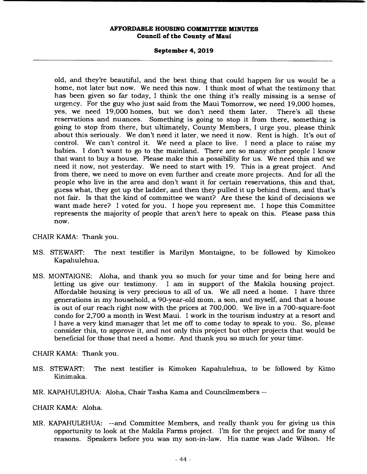#### **September 4, 2019**

old, and they're beautiful, and the best thing that could happen for us would be a home, not later but now. We need this now. I think most of what the testimony that has been given so far today, I think the one thing it's really missing is a sense of urgency. For the guy who just said from the Maui Tomorrow, we need 19,000 homes, yes, we need 19,000 homes, but we don't need them later. There's all these reservations and nuances. Something is going to stop it from there, something is going to stop from there, but ultimately, County Members, I urge you, please think about this seriously. We don't need it later, we need it now. Rent is high. It's out of control. We can't control it. We need a place to live. I need a place to raise my babies. I don't want to go to the mainland. There are so many other people I know that want to buy a house. Please make this a possibility for us. We need this and we need it now, not yesterday. We need to start with 19. This is a great project. And from there, we need to move on even further and create more projects. And for all the people who live in the area and don't want it for certain reservations, this and that, guess what, they got up the ladder, and then they pulled it up behind them, and that's not fair. Is that the kind of committee we want? Are these the kind of decisions we want made here? I voted for you. I hope you represent me. I hope this Committee represents the majority of people that aren't here to speak on this. Please pass this now.

## CHAIR KAMA: Thank you.

- MS. STEWART: The next testifier is Marilyn Montaigne, to be followed by Kimokeo Kapahulehua.
- MS. MONTAIGNE: Aloha, and thank you so much for your time and for being here and letting us give our testimony. I am in support of the Makila housing project. Affordable housing is very precious to all of us. We all need a home. I have three generations in my household, a 90-year-old mom, a son, and myself, and that a house is out of our reach right now with the prices at 700,000. We live in a 700-square-foot condo for 2,700 a month in West Maui. I work in the tourism industry at a resort and I have a very kind manager that let me off to come today to speak to you. So, please consider this, to approve it, and not only this project but other projects that would be beneficial for those that need a home. And thank you so much for your time.

CHAIR KAMA: Thank you.

- MS. STEWART: The next testifier is Kimokeo Kapahulehua, to be followed by Kimo Kinimaka.
- MR. KAPAHULEHUA: Aloha, Chair Tasha Kama and Councilmembers --

# CHAIR KAMA: Aloha.

MR. KAPAHULEHUA: --and Committee Members, and really thank you for giving us this opportunity to look at the Makila Farms project. I'm for the project and for many of reasons. Speakers before you was my son-in-law. His name was Jade Wilson. He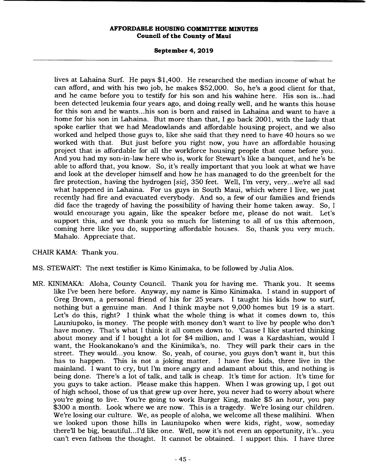#### **September 4, 2019**

lives at Lahaina Surf. He pays \$1,400. He researched the median income of what he can afford, and with his two job, he makes \$52,000. So, he's a good client for that, and he came before you to testify for his son and his wahine here. His son is... had been detected leukemia four years ago, and doing really well, and he wants this house for this son and he wants.. .his son is born and raised in Lahaina and want to have a home for his son in Lahaina. But more than that, I go back 2001, with the lady that spoke earlier that we had Meadowlands and affordable housing project, and we also worked and helped those guys to, like she said that they need to have 40 hours so we worked with that. But just before you right now, you have an affordable housing project that is affordable for all the workforce housing people that come before you. And you had my son-in-law here who is, work for Stewart's like a banquet, and he's be able to afford that, you know. So, it's really important that you look at what we have and look at the developer himself and how he has managed to do the greenbelt for the fire protection, having the hydrogen *[sic],* 350 feet. Well, I'm very, very.. .we're all sad what happened in Lahaina. For us guys in South Maui, which where I live, we just recently had fire and evacuated everybody. And so, a few of our families and friends did face the tragedy of having the possibility of having their home taken away. So, I would encourage you again, like the speaker before me, please do not wait. Let's support this, and we thank you so much for listening to all of us this afternoon, coming here like you do, supporting affordable houses. So, thank you very much. Mahalo. Appreciate that.

# CHAIR KAMA: Thank you.

- MS. STEWART: The next testifier is Kimo Kinimaka, to be followed by Julia Abs.
- MR. KINIMAKA: Aloha, County Council. Thank you for having me. Thank you. It seems like I've been here before. Anyway, my name is Kimo Kinimaka. I stand in support of Greg Brown, a personal friend of his for 25 years. I taught his kids how to surf, nothing but a genuine man. And I think maybe not 9,000 homes but 19 is a start. Let's do this, right? I think what the whole thing is what it comes down to, this Launiupoko, is money. The people with money don't want to live by people who don't have money. That's what I think it all comes down to. 'Cause I like started thinking about money and if I bought a lot for \$4 million, and I was a Kardashian, would I want, the Hookanokano's and the Kinimika's, no. They will park their cars in the street. They would.. .you know. So, yeah, of course, you guys don't want it, but this has to happen. This is not a joking matter. I have five kids, three live in the mainland. I want to cry, but I'm more angry and adamant about this, and nothing is being done. There's a lot of talk, and talk is cheap. It's time for action. It's time for you guys to take action. Please make this happen. When I was growing up, I got out of high school, those of us that grew up over here, you never had to worry about where you're going to live. You're going to work Burger King, make \$5 an hour, you pay \$300 a month. Look where we are now. This is a tragedy. We're losing our children. We're losing our culture. We, as people of aloha, we welcome all these malihini. When we looked upon those hills in Launiupoko when were kids, right, wow, someday there'll be big, beautiful.. .I'd like one. Well, now it's not even an opportunity, it's.. .you can't even fathom the thought. It cannot be obtained. I support this. I have three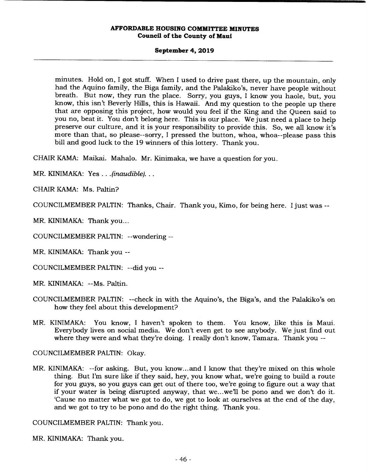#### **September 4, 2019**

minutes. Hold on, I got stuff. When I used to drive past there, up the mountain, only had the Aquino family, the Biga family, and the Palakiko's, never have people without breath. But now, they run the place. Sorry, you guys, I know you haole, but, you know, this isn't Beverly Hills, this is Hawaii. And my question to the people up there that are opposing this project, how would you feel if the King and the Queen said to you no, beat it. You don't belong here. This is our place. We just need a place to help preserve our culture, and it is your responsibility to provide this. So, we all know it's more than that, so please--sorry, I pressed the button, whoa, whoa--please pass this bill and good luck to the 19 winners of this lottery. Thank you.

CHAIR KAMA: Maikai. Mahalo. Mr. Kinimaka, we have a question for you.

MR. KINIMAKA: Yes . . . *(inaudible)...* 

CHAIR KAMA: Ms. Paltin?

COUNCILMEMBER PALTIN: Thanks, Chair. Thank you, Kimo, for being here. I just was --

MR. KINIMAKA: Thank you...

COUNCILMEMBER PALTIN: --wondering --

MR. KINIMAKA: Thank you --

COUNCILMEMBER PALTIN: --did you --

MR. KINIMAKA: --Ms. Paltin.

- COUNCILMEMBER PALTIN: --check in with the Aquino's, the Biga's, and the Palakiko's on how they feel about this development?
- MR. KINIMAKA: You know, I haven't spoken to them. You know, like this is Maui. Everybody lives on social media. We don't even get to see anybody. We just find out where they were and what they're doing. I really don't know, Tamara. Thank you --

COUNCILMEMBER PALTIN: Okay.

MR. KINIMAKA: --for asking. But, you know... and I know that they're mixed on this whole thing. But I'm sure like if they said, hey, you know what, we're going to build a route for you guys, so you guys can get out of there too, we're going to figure out a way that if your water is being disrupted anyway, that we...we'll be pono and we don't do it. 'Cause no matter what we got to do, we got to look at ourselves at the end of the day, and we got to try to be pono and do the right thing. Thank you.

COUNCILMEMBER PALTIN: Thank you.

MR. KINIMAKA: Thank you.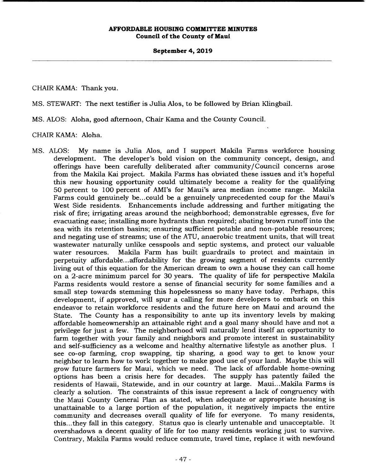## **September 4, 2019**

CHAIR KAMA: Thank you.

MS. STEWART: The next testifier is Julia Alos, to be followed by Brian Klingbail.

MS. ALOS: Aloha, good afternoon, Chair Kama and the County Council.

CHAIR KAMA: Aloha.

MS. ALOS: My name is Julia Alos, and I support Makila Farms workforce housing development. The developer's bold vision on the community concept, design, and offerings have been carefully deliberated after community/ Council concerns arose from the Makila Kai project. Makila Farms has obviated these issues and it's hopeful this new housing opportunity could ultimately become a reality for the qualifying 50 percent to 100 percent of AMI's for Maui's area median income range. Makila Farms could genuinely be... could be a genuinely unprecedented coup for the Maui's West Side residents. Enhancements include addressing and further mitigating the risk of fire; irrigating areas around the neighborhood; demonstrable egresses, five for evacuating ease; installing more hydrants than required; abating brown runoff into the sea with its retention basins; ensuring sufficient potable and non-potable resources; and negating use of streams; use of the ATU, anaerobic treatment units, that will treat wastewater naturally unlike cesspools and septic systems, and protect our valuable water resources. Makila Farm has built guardrails to protect and maintain in perpetuity affordable... affordability for the growing segment of residents currently living out of this equation for the American dream to own a house they can call home on a 2-acre minimum parcel for 30 years. The quality of life for perspective Makila Farms residents would restore a sense of financial security for some families and a small step towards stemming this hopelessness so many have today. Perhaps, this development, if approved, will spur a calling for more developers to embark on this endeavor to retain workforce residents and the future here on Maui and around the State. The County has a responsibility to ante up its inventory levels by making affordable homeownership an attainable right and a goal many should have and not a privilege for just a few. The neighborhood will naturally lend itself an opportunity to farm together with your family and neighbors and promote interest in sustainability and self-sufficiency as a welcome and healthy alternative lifestyle as another plus. I see co-op farming, crop swapping, tip sharing, a good way to get to know your neighbor to learn how to work together to make good use of your land. Maybe this will grow future farmers for Maui, which we need. The lack of affordable home-owning options has been a crisis here for decades. residents of Hawaii, Statewide, and in our country at large. Maui... Makila Farms is clearly a solution. The constraints of this issue represent a lack of congruency with the Maui County General Plan as stated, when adequate or appropriate housing is unattainable to a large portion of the population, it negatively impacts the entire community and decreases overall quality of life for everyone. To many residents, this.. .they fall in this category. Status quo is clearly untenable and unacceptable. It overshadows a decent quality of life for too many residents working just to survive. Contrary, Makila Farms would reduce commute, travel time, replace it with newfound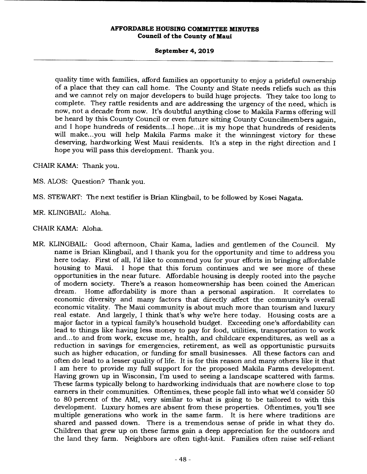#### **September 4, 2019**

quality time with families, afford families an opportunity to enjoy a prideful ownership of a place that they can call home. The County and State needs reliefs such as this and we cannot rely on major developers to build huge projects. They take too long to complete. They rattle residents and are addressing the urgency of the need, which is now, not a decade from now. It's doubtful anything close to Makila Farms offering will be heard by this County Council or even future sitting County Councilmembers again, and I hope hundreds of residents... I hope.. .it is my hope that hundreds of residents will make...you will help Makila Farms make it the winningest victory for these deserving, hardworking West Maui residents. It's a step in the right direction and I hope you will pass this development. Thank you.

CHAIR KAMA: Thank you.

MS. ALOS: Question? Thank you.

MS. STEWART: The next testifier is Brian Klingbail, to be followed by Kosei Nagata.

MR. KLINGBAIL: Aloha.

CHAIR KAMA: Aloha.

MR. KLINGBAIL: Good afternoon, Chair Kama, ladies and gentlemen of the Council. My name is Brian Klingbail, and I thank you for the opportunity and time to address you here today. First of all, I'd like to commend you for your efforts in bringing affordable<br>housing to Maui. I hope that this forum continues and we see more of these I hope that this forum continues and we see more of these opportunities in the near future. Affordable housing is deeply rooted into the psyche of modern society. There's a reason homeownership has been coined the American dream. Home affordability is more than a personal aspiration. It correlates to economic diversity and many factors that directly affect the community's overall economic vitality. The Maui community is about much more than tourism and luxury real estate. And largely, I think that's why we're here today. Housing costs are a major factor in a typical family's household budget. Exceeding one's affordability can lead to things like having less money to pay for food, utilities, transportation to work and... to and from work, excuse me, health, and childcare expenditures, as well as a reduction in savings for emergencies, retirement, as well as opportunistic pursuits such as higher education, or funding for small businesses. All these factors can and often do lead to a lesser quality of life. It is for this reason and many others like it that I am here to provide my full support for the proposed Makila Farms development. Having grown up in Wisconsin, I'm used to seeing a landscape scattered with farms. These farms typically belong to hardworking individuals that are nowhere close to top earners in their communities. Oftentimes, these people fall into what we'd consider 50 to 80 percent of the AMI, very similar to what is going to be tailored to with this development. Luxury homes are absent from these properties. Oftentimes, you'll see multiple generations who work in the same farm. It is here where traditions are shared and passed down. There is a tremendous sense of pride in what they do. Children that grew up on these farms gain a deep appreciation for the outdoors and the land they farm. Neighbors are often tight-knit. Families often raise self-reliant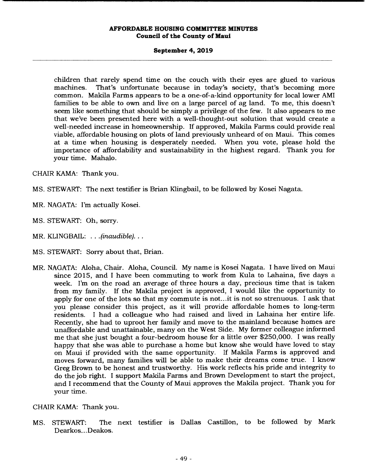#### **September 4, 2019**

children that rarely spend time on the couch with their eyes are glued to various machines. That's unfortunate because in today's society, that's becoming more common. Makila Farms appears to be a one-of-a-kind opportunity for local lower AMI families to be able to own and live on a large parcel of ag land. To me, this doesn't seem like something that should be simply a privilege of the few. It also appears to me that we've been presented here with a well-thought-out solution that would create a well-needed increase in homeownership. If approved, Makila Farms could provide real viable, affordable housing on plots of land previously unheard of on Maui. This comes at a time when housing is desperately needed. When you vote, please hold the importance of affordability and sustainability in the highest regard. Thank you for your time. Mahalo.

CHAIR KAMA: Thank you.

- MS. STEWART: The next testifier is Brian Klingbail, to be followed by Kosei Nagata.
- MR. NAGATA: I'm actually Kosei.
- MS. STEWART: Oh, sorry.
- MR. KLINGBAIL: . . . *(inaudible)...*
- MS. STEWART: Sorry about that, Brian.
- MR. NAGATA: Aloha, Chair. Aloha, Council. My name is Kosei Nagata. I have lived on Maui since 2015, and I have been commuting to work from Kula to Lahaina, five days a week. I'm on the road an average of three hours a day, precious time that is taken from my family. If the Makila project is approved, I would like the opportunity to apply for one of the lots so that my commute is not.. .it is not so strenuous. I ask that you please consider this project, as it will provide affordable homes to long-term residents. I had a colleague who had raised and lived in Lahaina her entire life. Recently, she had to uproot her family and move to the mainland because homes are unaffordable and unattainable, many on the West Side. My former colleague informed me that she just bought a four-bedroom house for a little over \$250,000. I was really happy that she was able to purchase a home but know she would have loved to stay on Maui if provided with the same opportunity. If Makila Farms is approved and moves forward, many families will be able to make their dreams come true. I know Greg Brown to be honest and trustworthy. His work reflects his pride and integrity to do the job right. I support Makila Farms and Brown Development to start the project, and I recommend that the County of Maui approves the Makila project. Thank you for your time.

CHAIR KAMA: Thank you.

MS. STEWART: The next testifier is Dallas Castillon, to be followed by Mark Dearkos... Deakos.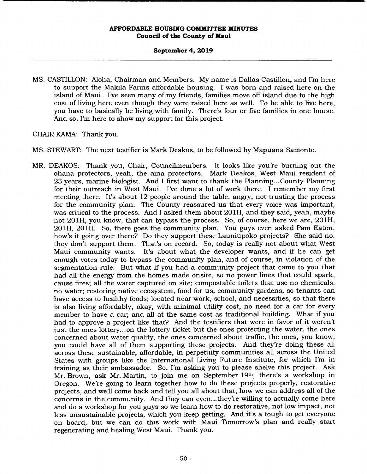## **September 4, 2019**

MS. CASTILLON: Aloha, Chairman and Members. My name is Dallas Castillon, and I'm here to support the Makila Farms affordable housing. I was born and raised here on the island of Maui. I've seen many of my friends, families move off island due to the high cost of living here even though they were raised here as well. To be able to live here, you have to basically be living with family. There's four or five families in one house. And so, I'm here to show my support for this project.

CHAIR KAMA: Thank you.

- MS. STEWART: The next testifier is Mark Deakos, to be followed by Mapuana Samonte.
- MR. DEAKOS: Thank you, Chair, Councilmembers. It looks like you're burning out the ohana protectors, yeah, the aina protectors. Mark Deakos, West Maui resident of 23 years, marine biologist. And I first want to thank the Planning... County Planning for their outreach in West Maui. I've done a lot of work there. I remember my first meeting there. It's about 12 people around the table, angry, not trusting the process for the community plan. The County reassured us that every voice was important, was critical to the process. And I asked them about 201H, and they said, yeah, maybe not 201H, you know, that can bypass the process. So, of course, here we are, 201H, 201H, 201H. So, there goes the community plan. You guys even asked Pam Eaton, how's it going over there? Do they support these Launiupoko projects? She said no, they don't support them. That's on record. So, today is really not about what West Maui community wants. It's about what the developer wants, and if he can get enough votes today to bypass the community plan, and of course, in violation of the segmentation rule. But what if you had a community project that came to you that had all the energy from the homes made onsite, so no power lines that could spark, cause fires; all the water captured on site; compostable toilets that use no chemicals, no water; restoring native ecosystem, food for us, community gardens, so tenants can have access to healthy foods; located near work, school, and necessities, so that there is also living affordably, okay, with minimal utility cost, no need for a car for every member to have a car; and all at the same cost as traditional building. What if you had to approve a project like that? And the testifiers that were in favor of it weren't just the ones lottery.., on the lottery ticket but the ones protecting the water, the ones concerned about water quality, the ones concerned about traffic, the ones, you know, you could have all of them supporting these projects. And they're doing these all across these sustainable, affordable, in-perpetuity communities all across the United States with groups like the International Living Future Institute, for which I'm in training as their ambassador. So, I'm asking you to please shelve this project. Ask Mr. Brown, ask Mr. Martin, to join me on September 19th, there's a workshop in Oregon. We're going to learn together how to do these projects properly, restorative projects, and well come back and tell you all about that, how we can address all of the concerns in the community. And they can even.. .they're willing to actually come here and do a workshop for you guys so we learn how to do restorative, not low impact, not less unsustainable projects, which you keep getting. And it's a tough to get everyone on board, but we can do this work with Maui Tomorrow's plan and really start regenerating and healing West Maui. Thank you.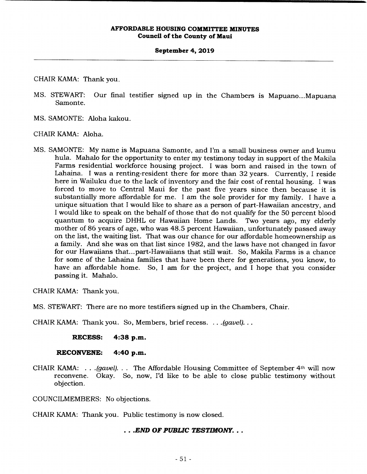#### **September 4, 2019**

CHAIR KAMA: Thank you.

- MS. STEWART: Our final testifier signed up in the Chambers is Mapuano...Mapuana Samonte.
- MS. SAMONTE: Aloha kakou.

CHAIR KAMA: Aloha.

MS. SAMONTE: My name is Mapuana Samonte, and I'm a small business owner and kumu hula. Mahalo for the opportunity to enter my testimony today in support of the Makila Farms residential workforce housing project. I was born and raised in the town of Lahaina. I was a renting-resident there for more than 32 years. Currently, I reside here in Wailuku due to the lack of inventory and the fair cost of rental housing. I was forced to move to Central Maui for the past five years since then because it is substantially more affordable for me. I am the sole provider for my family. I have a unique situation that I would like to share as a person of part-Hawaiian ancestry, and I would like to speak on the behalf of those that do not qualify for the 50 percent blood quantum to acquire DHHL or Hawaiian Home Lands. Two years ago, my elderly mother of 86 years of age, who was 48.5 percent Hawaiian, unfortunately passed away on the list, the waiting list. That was our chance for our affordable homeownership as a family. And she was on that list since 1982, and the laws have not changed in favor for our Hawaiians that... part-Hawaiians that still wait. So, Makila Farms is a chance for some of the Lahaina families that have been there for generations, you know, to have an affordable home. So, I am for the project, and I hope that you consider passing it. Mahalo.

CHAIR KAMA: Thank you.

MS. STEWART: There are no more testifiers signed up in the Chambers, Chair.

CHAIR KAMA: Thank you. So, Members, brief recess. .. *.(gavel)...* 

**RECESS: 4:38 p.m.** 

**RECONVENE: 4:40 p.m.** 

CHAIR KAMA: ... *(gavel)...* The Affordable Housing Committee of September 4th will now reconvene. Okay. So, now, I'd like to be able to close public testimony without objection.

COUNCILMEMBERS: No objections.

CHAIR KAMA: Thank you. Public testimony is now closed.

# *• .END OF PUBLIC TESTIMONY...*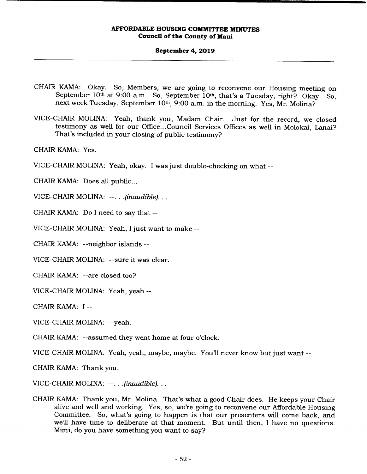#### **September 4, 2019**

- CHAIR KAMA: Okay. So, Members, we are going to reconvene our Housing meeting on September 10<sup>th</sup> at 9:00 a.m. So, September 10<sup>th</sup>, that's a Tuesday, right? Okay. So, next week Tuesday, September 10<sup>th</sup>, 9:00 a.m. in the morning. Yes, Mr. Molina?
- VICE-CHAIR MOLINA: Yeah, thank you, Madam Chair. Just for the record, we closed testimony as well for our Office... Council Services Offices as well in Molokai, Lanai? That's included in your closing of public testimony?

CHAIR KAMA: Yes.

VICE-CHAIR MOLINA: Yeah, okay. I was just double-checking on what --

CHAIR KAMA: Does all public...

VICE-CHAIR MOLINA: --....(inaudible)...

CHAIR KAMA: Do I need to say that --

VICE-CHAIR MOLINA: Yeah, I just want to make --

CHAIR KAMA: --neighbor islands --

VICE-CHAIR MOLINA: --sure it was clear.

CHAIR KAMA: --are closed too?

VICE-CHAIR MOLINA: Yeah, yeah --

CHAIR KAMA: I --

VICE-CHAIR MOLINA: --yeah.

CHAIR KAMA: --assumed they went home at four o'clock.

VICE-CHAIR MOLINA: Yeah, yeah, maybe, maybe. Youll never know but just want --

CHAIR KAMA: Thank you.

VICE-CHAIR MOLINA: --. . . (inaudible). . .

CHAIR KAMA: Thank you, Mr. Molina. That's what a good Chair does. He keeps your Chair alive and well and working. Yes, so, we're going to reconvene our Affordable Housing Committee. So, what's going to happen is that our presenters will come back, and we'll have time to deliberate at that moment. But until then, I have no questions. Mimi, do you have something you want to say?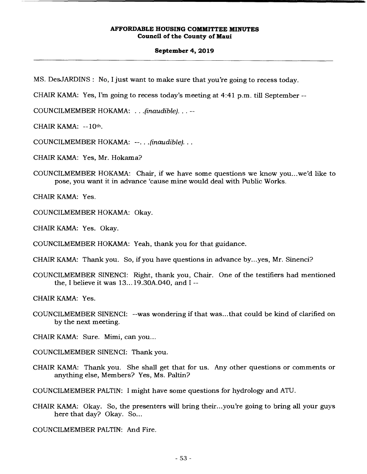#### **September 4, 2019**

MS. DesJARDINS: No, I just want to make sure that you're going to recess today.

CHAIR KAMA: Yes, I'm going to recess today's meeting at 4:41 p.m. till September --

COUNCILMEMBER HOKAMA: . . . *(*inaudible). . . --

CHAIR KAMA: --10th.

COUNCILMEMBER HOKAMA: --...(inaudible)...

CHAIR KAMA: Yes, Mr. Hokama?

COUNCILMEMBER HOKAMA: Chair, if we have some questions we know you.. .we'd like to pose, you want it in advance 'cause mine would deal with Public Works.

CHAIR KAMA: Yes.

COUNCILMEMBER HOKAMA: Okay.

CHAIR KAMA: Yes. Okay.

COUNCILMEMBER HOKAMA: Yeah, thank you for that guidance.

CHAIR KAMA: Thank you. So, if you have questions in advance by...yes, Mr. Sinenci?

COUNCILMEMBER SINENCI: Right, thank you, Chair. One of the testifiers had mentioned the, I believe it was 13... 19.30A.040, and I --

CHAIR KAMA: Yes.

COUNCILMEMBER SINENCI: --was wondering if that was... that could be kind of clarified on by the next meeting.

CHAIR KAMA: Sure. Mimi, can you...

COUNCILMEMBER SINENCI: Thank you.

CHAIR KAMA: Thank you. She shall get that for us. Any other questions or comments or anything else, Members? Yes, Ms. Paltin?

COUNCILMEMBER PALTIN: I might have some questions for hydrology and ATU.

CHAIR KAMA: Okay. So, the presenters will bring their...you're going to bring all your guys here that day? Okay. So...

COUNCILMEMBER PALTIN: And Fire.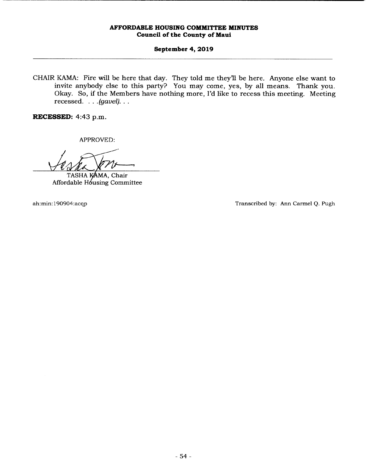# **September 4, 2019**

CHAIR KAMA: Fire will be here that day. They told me they'll be here. Anyone else want to invite anybody else to this party? You may come, yes, by all means. Thank you. Okay. So, if the Members have nothing more, I'd like to recess this meeting. Meeting recessed. . . . *(gavel).* 

**RECESSED:** 4:43 p.m.

APPROVED:

TASHA KAMA, Chair Affordable Hóusing Committee

ah:min: 190904:acqp Transcribed by: Ann Carmel *Q.* Pugh